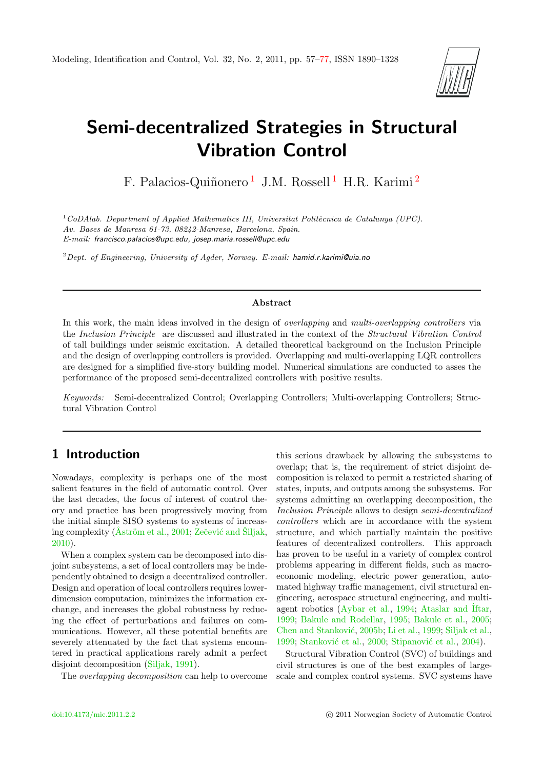

# Semi-decentralized Strategies in Structural Vibration Control

F. Palacios-Quiñonero<sup>[1](#page-0-0)</sup> J.M. Rossell<sup>1</sup> H.R. Karimi<sup>[2](#page-0-0)</sup>

<sup>1</sup>CoDAlab. Department of Applied Mathematics III, Universitat Politècnica de Catalunya (UPC). Av. Bases de Manresa 61-73, 08242-Manresa, Barcelona, Spain. E-mail: francisco.palacios@upc.edu, josep.maria.rossell@upc.edu

<sup>2</sup> Dept. of Engineering, University of Agder, Norway. E-mail: hamid.r.karimi@uia.no

#### Abstract

In this work, the main ideas involved in the design of *overlapping* and *multi-overlapping controllers* via the Inclusion Principle are discussed and illustrated in the context of the Structural Vibration Control of tall buildings under seismic excitation. A detailed theoretical background on the Inclusion Principle and the design of overlapping controllers is provided. Overlapping and multi-overlapping LQR controllers are designed for a simplified five-story building model. Numerical simulations are conducted to asses the performance of the proposed semi-decentralized controllers with positive results.

Keywords: Semi-decentralized Control; Overlapping Controllers; Multi-overlapping Controllers; Structural Vibration Control

# <span id="page-0-0"></span>1 Introduction

Nowadays, complexity is perhaps one of the most salient features in the field of automatic control. Over the last decades, the focus of interest of control theory and practice has been progressively moving from the initial simple SISO systems to systems of increasing complexity ( $\AA$ ström et al., [2001;](#page-15-0) Zečević and Siljak, [2010\)](#page-16-0).

When a complex system can be decomposed into disjoint subsystems, a set of local controllers may be independently obtained to design a decentralized controller. Design and operation of local controllers requires lowerdimension computation, minimizes the information exchange, and increases the global robustness by reducing the effect of perturbations and failures on communications. However, all these potential benefits are severely attenuated by the fact that systems encountered in practical applications rarely admit a perfect disjoint decomposition [\(Siljak,](#page-16-1) [1991\)](#page-16-1).

The overlapping decomposition can help to overcome

this serious drawback by allowing the subsystems to overlap; that is, the requirement of strict disjoint decomposition is relaxed to permit a restricted sharing of states, inputs, and outputs among the subsystems. For systems admitting an overlapping decomposition, the Inclusion Principle allows to design semi-decentralized controllers which are in accordance with the system structure, and which partially maintain the positive features of decentralized controllers. This approach has proven to be useful in a variety of complex control problems appearing in different fields, such as macroeconomic modeling, electric power generation, automated highway traffic management, civil structural engineering, aerospace structural engineering, and multiagent robotics [\(Aybar et al.,](#page-15-1) [1994;](#page-15-1) [Ataslar and](#page-15-2) ˙Iftar, [1999;](#page-15-2) [Bakule and Rodellar,](#page-15-3) [1995;](#page-15-3) [Bakule et al.,](#page-15-4) [2005;](#page-15-4) Chen and Stanković, [2005b;](#page-15-5) [Li et al.,](#page-15-6) [1999;](#page-15-6) [Siljak et al.,](#page-16-2) [1999;](#page-16-2) Stanković et al., [2000;](#page-16-3) Stipanović et al., [2004\)](#page-16-4).

Structural Vibration Control (SVC) of buildings and civil structures is one of the best examples of largescale and complex control systems. SVC systems have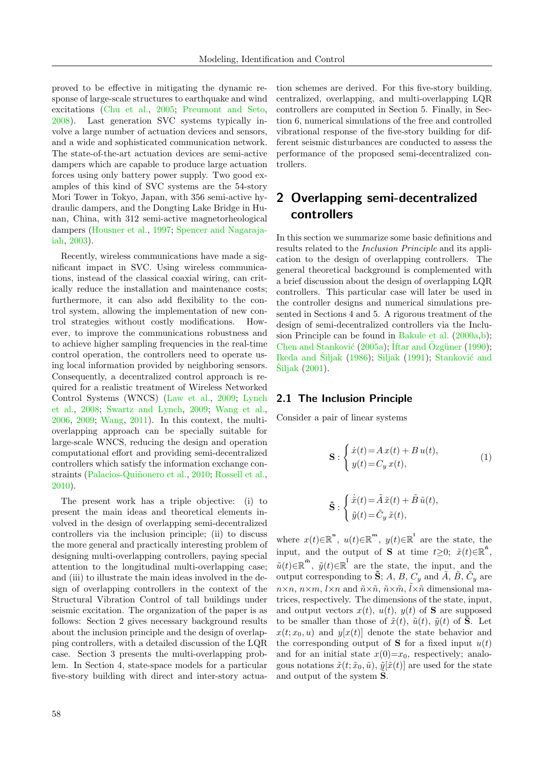proved to be effective in mitigating the dynamic response of large-scale structures to earthquake and wind excitations [\(Chu et al.,](#page-15-7) [2005;](#page-15-7) [Preumont and Seto,](#page-16-5) [2008\)](#page-16-5). Last generation SVC systems typically involve a large number of actuation devices and sensors, and a wide and sophisticated communication network. The state-of-the-art actuation devices are semi-active dampers which are capable to produce large actuation forces using only battery power supply. Two good examples of this kind of SVC systems are the 54-story Mori Tower in Tokyo, Japan, with 356 semi-active hydraulic dampers, and the Dongting Lake Bridge in Hunan, China, with 312 semi-active magnetorheological dampers [\(Housner et al.,](#page-15-8) [1997;](#page-15-8) [Spencer and Nagaraja](#page-16-6)[iah,](#page-16-6) [2003\)](#page-16-6).

Recently, wireless communications have made a significant impact in SVC. Using wireless communications, instead of the classical coaxial wiring, can critically reduce the installation and maintenance costs; furthermore, it can also add flexibility to the control system, allowing the implementation of new control strategies without costly modifications. However, to improve the communications robustness and to achieve higher sampling frequencies in the real-time control operation, the controllers need to operate using local information provided by neighboring sensors. Consequently, a decentralized control approach is required for a realistic treatment of Wireless Networked Control Systems (WNCS) [\(Law et al.,](#page-15-9) [2009;](#page-15-9) [Lynch](#page-15-10) [et al.,](#page-15-10) [2008;](#page-15-10) [Swartz and Lynch,](#page-16-7) [2009;](#page-16-7) [Wang et al.,](#page-16-8) [2006,](#page-16-8) [2009;](#page-16-9) [Wang,](#page-16-10) [2011\)](#page-16-10). In this context, the multioverlapping approach can be specially suitable for large-scale WNCS, reducing the design and operation computational effort and providing semi-decentralized controllers which satisfy the information exchange con-straints (Palacios-Quiñonero et al., [2010;](#page-16-11) [Rossell et al.,](#page-16-12) [2010\)](#page-16-12).

The present work has a triple objective: (i) to present the main ideas and theoretical elements involved in the design of overlapping semi-decentralized controllers via the inclusion principle; (ii) to discuss the more general and practically interesting problem of designing multi-overlapping controllers, paying special attention to the longitudinal multi-overlapping case; and (iii) to illustrate the main ideas involved in the design of overlapping controllers in the context of the Structural Vibration Control of tall buildings under seismic excitation. The organization of the paper is as follows: Section 2 gives necessary background results about the inclusion principle and the design of overlapping controllers, with a detailed discussion of the LQR case. Section 3 presents the multi-overlapping problem. In Section 4, state-space models for a particular five-story building with direct and inter-story actuation schemes are derived. For this five-story building, centralized, overlapping, and multi-overlapping LQR controllers are computed in Section 5. Finally, in Section 6, numerical simulations of the free and controlled vibrational response of the five-story building for different seismic disturbances are conducted to assess the performance of the proposed semi-decentralized controllers.

# <span id="page-1-1"></span>2 Overlapping semi-decentralized controllers

In this section we summarize some basic definitions and results related to the Inclusion Principle and its application to the design of overlapping controllers. The general theoretical background is complemented with a brief discussion about the design of overlapping LQR controllers. This particular case will later be used in the controller designs and numerical simulations presented in Sections 4 and 5. A rigorous treatment of the design of semi-decentralized controllers via the Inclusion Principle can be found in [Bakule et al.](#page-15-11) [\(2000a,](#page-15-11)[b\)](#page-15-12); Chen and Stanković [\(2005a\)](#page-15-13); İftar and Özgüner [\(1990\)](#page-15-14); [Ikeda and](#page-15-15) Šiljak [\(1986\)](#page-15-15); [Siljak](#page-16-1) [\(1991\)](#page-16-1); Stanković and [Siljak](#page-16-13)  $(2001)$ .

#### 2.1 The Inclusion Principle

Consider a pair of linear systems

<span id="page-1-0"></span>
$$
\mathbf{S}: \begin{cases} \dot{x}(t) = A\,x(t) + B\,u(t), \\ y(t) = C_y\,x(t), \end{cases} \tag{1}
$$

$$
\tilde{\mathbf{S}} : \begin{cases} \dot{\tilde{x}}(t) = \tilde{A}\,\tilde{x}(t) + \tilde{B}\,\tilde{u}(t), \\ \tilde{y}(t) = \tilde{C}_y\,\tilde{x}(t), \end{cases}
$$

where  $x(t) \in \mathbb{R}^n$ ,  $u(t) \in \mathbb{R}^m$ ,  $y(t) \in \mathbb{R}^1$  are the state, the input, and the output of S at time  $t \geq 0$ ;  $\tilde{x}(t) \in \mathbb{R}^{\tilde{n}}$ ,  $\tilde{u}(t) \in \mathbb{R}^{\tilde{\mathbf{n}}}$ ,  $\tilde{y}(t) \in \mathbb{R}^{\tilde{\mathbf{l}}}$  are the state, the input, and the output corresponding to  $\tilde{\mathbf{S}}$ ; A, B,  $C_y$  and  $\tilde{A}$ ,  $\tilde{B}$ ,  $\tilde{C}_y$  are  $n \times n$ ,  $n \times m$ ,  $l \times n$  and  $\tilde{n} \times \tilde{n}$ ,  $\tilde{n} \times \tilde{m}$ ,  $\tilde{l} \times \tilde{n}$  dimensional matrices, respectively. The dimensions of the state, input, and output vectors  $x(t)$ ,  $u(t)$ ,  $y(t)$  of **S** are supposed to be smaller than those of  $\tilde{x}(t)$ ,  $\tilde{u}(t)$ ,  $\tilde{y}(t)$  of **S**. Let  $x(t; x_0, u)$  and  $y[x(t)]$  denote the state behavior and the corresponding output of **S** for a fixed input  $u(t)$ and for an initial state  $x(0)=x_0$ , respectively; analogous notations  $\tilde{x}(t; \tilde{x}_0, \tilde{u}), \tilde{y}[\tilde{x}(t)]$  are used for the state and output of the system **S**.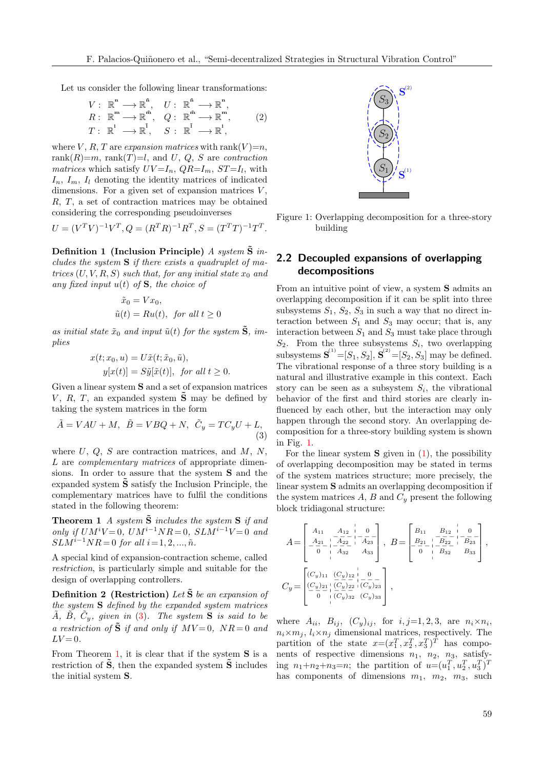Let us consider the following linear transformations:

$$
V: \mathbb{R}^{n} \longrightarrow \mathbb{R}^{\tilde{n}}, \quad U: \mathbb{R}^{\tilde{n}} \longrightarrow \mathbb{R}^{n},
$$
  
\n
$$
R: \mathbb{R}^{m} \longrightarrow \mathbb{R}^{\tilde{m}}, \quad Q: \mathbb{R}^{\tilde{m}} \longrightarrow \mathbb{R}^{m},
$$
  
\n
$$
T: \mathbb{R}^{1} \longrightarrow \mathbb{R}^{\tilde{1}}, \quad S: \mathbb{R}^{\tilde{1}} \longrightarrow \mathbb{R}^{1},
$$
  
\n(2)

where V, R, T are expansion matrices with rank(V)=n, rank $(R)=m$ , rank $(T)=l$ , and U, Q, S are contraction matrices which satisfy  $UV=I_n$ ,  $QR=I_m$ ,  $ST=I_l$ , with  $I_n$ ,  $I_m$ ,  $I_l$  denoting the identity matrices of indicated dimensions. For a given set of expansion matrices  $V$ , R, T, a set of contraction matrices may be obtained considering the corresponding pseudoinverses

$$
U = (V^T V)^{-1} V^T, Q = (R^T R)^{-1} R^T, S = (T^T T)^{-1} T^T.
$$

Definition 1 (Inclusion Principle) A system  $S$  includes the system  $S$  if there exists a quadruplet of matrices  $(U, V, R, S)$  such that, for any initial state  $x_0$  and any fixed input  $u(t)$  of S, the choice of

$$
\tilde{x}_0 = Vx_0,
$$
  

$$
\tilde{u}(t) = Ru(t), \text{ for all } t \ge 0
$$

as initial state  $\tilde{x}_0$  and input  $\tilde{u}(t)$  for the system  $\tilde{S}$ , implies

$$
x(t; x_0, u) = U\tilde{x}(t; \tilde{x}_0, \tilde{u}),
$$
  

$$
y[x(t)] = S\tilde{y}[\tilde{x}(t)], \text{ for all } t \ge 0.
$$

Given a linear system S and a set of expansion matrices V, R, T, an expanded system  $\tilde{S}$  may be defined by taking the system matrices in the form

$$
\tilde{A} = VAU + M, \quad \tilde{B} = VBQ + N, \quad \tilde{C}_y = TC_yU + L,\tag{3}
$$

where  $U, Q, S$  are contraction matrices, and  $M, N$ , L are complementary matrices of appropriate dimensions. In order to assure that the system S and the expanded system  $\tilde{S}$  satisfy the Inclusion Principle, the complementary matrices have to fulfil the conditions stated in the following theorem:

**Theorem 1** A system  $\tilde{\mathbf{S}}$  includes the system  $\mathbf{S}$  if and only if  $UM^iV=0$ ,  $UM^{i-1}NR=0$ ,  $SLM^{i-1}V=0$  and  $SLM^{i-1}NR = 0$  for all  $i = 1, 2, ..., \tilde{n}$ .

A special kind of expansion-contraction scheme, called restriction, is particularly simple and suitable for the design of overlapping controllers.

**Definition 2** (Restriction) Let  $\tilde{\mathbf{S}}$  be an expansion of the system S defined by the expanded system matrices  $\tilde{A}$ ,  $\tilde{B}$ ,  $\tilde{C}_y$ , given in [\(3\)](#page-2-0). The system **S** is said to be a restriction of  $\tilde{\mathbf{S}}$  if and only if  $MV=0$ ,  $NR=0$  and  $LV = 0$ .

From Theorem [1,](#page-2-1) it is clear that if the system  $S$  is a restriction of  $\tilde{S}$ , then the expanded system  $\tilde{S}$  includes the initial system S.

<span id="page-2-3"></span>

<span id="page-2-2"></span>Figure 1: Overlapping decomposition for a three-story building

#### <span id="page-2-5"></span>2.2 Decoupled expansions of overlapping decompositions

From an intuitive point of view, a system S admits an overlapping decomposition if it can be split into three subsystems  $S_1$ ,  $S_2$ ,  $S_3$  in such a way that no direct interaction between  $S_1$  and  $S_3$  may occur; that is, any interaction between  $S_1$  and  $S_3$  must take place through  $S_2$ . From the three subsystems  $S_i$ , two overlapping subsystems  $S^{(1)} = [S_1, S_2], S^{(2)} = [S_2, S_3]$  may be defined. The vibrational response of a three story building is a natural and illustrative example in this context. Each story can be seen as a subsystem  $S_i$ , the vibrational behavior of the first and third stories are clearly influenced by each other, but the interaction may only happen through the second story. An overlapping decomposition for a three-story building system is shown in Fig. [1.](#page-2-2)

<span id="page-2-0"></span>For the linear system  $S$  given in  $(1)$ , the possibility of overlapping decomposition may be stated in terms of the system matrices structure; more precisely, the linear system S admits an overlapping decomposition if the system matrices  $A, B$  and  $C_y$  present the following block tridiagonal structure:

<span id="page-2-1"></span>
$$
A = \begin{bmatrix} A_{11} & A_{12} & 0 \\ -A_{21} & -A_{22} & -A_{23} \\ 0 & -A_{32} & A_{33} \end{bmatrix}, B = \begin{bmatrix} B_{11} & B_{12} & 0 \\ -B_{21} & -B_{22} & -A_{23} \\ 0 & -B_{32} & B_{33} \end{bmatrix},
$$
  
\n
$$
C_{y} = \begin{bmatrix} (C_{y})_{11} & (C_{y})_{12} & 0 \\ (C_{y})_{21} & (C_{y})_{22} & (C_{y})_{23} \\ 0 & -B_{y} & -B_{z3} \end{bmatrix},
$$

<span id="page-2-4"></span>where  $A_{ii}$ ,  $B_{ij}$ ,  $(C_y)_{ij}$ , for  $i, j=1, 2, 3$ , are  $n_i \times n_i$ ,  $n_i \times m_j$ ,  $l_i \times n_j$  dimensional matrices, respectively. The partition of the state  $x=(x_1^T, x_2^T, x_3^T)^T$  has components of respective dimensions  $n_1$ ,  $n_2$ ,  $n_3$ , satisfying  $n_1+n_2+n_3=n$ ; the partition of  $u=(u_1^T, u_2^T, u_3^T)^T$ has components of dimensions  $m_1$ ,  $m_2$ ,  $m_3$ , such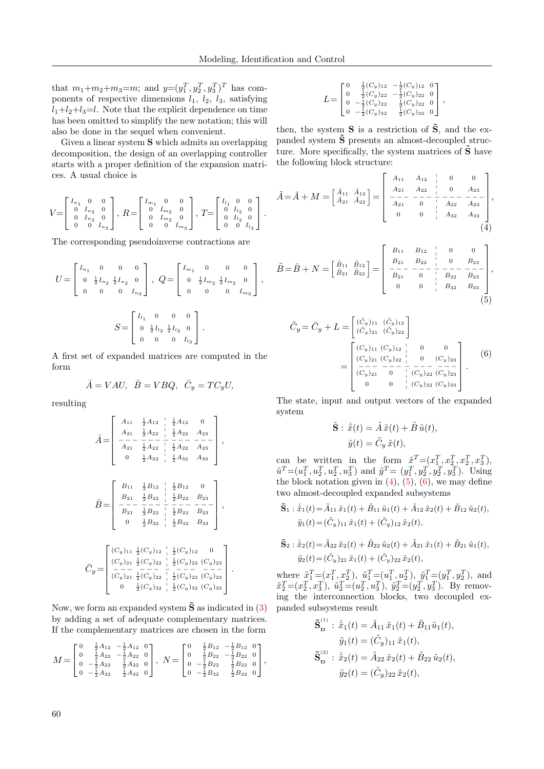that  $m_1+m_2+m_3=m$ ; and  $y=(y_1^T, y_2^T, y_3^T)^T$  has components of respective dimensions  $l_1$ ,  $l_2$ ,  $l_3$ , satisfying  $l_1+l_2+l_3=l$ . Note that the explicit dependence on time has been omitted to simplify the new notation; this will also be done in the sequel when convenient.

Given a linear system S which admits an overlapping decomposition, the design of an overlapping controller starts with a proper definition of the expansion matrices. A usual choice is

$$
V = \begin{bmatrix} I_{n_1} & 0 & 0 \\ 0 & I_{n_2} & 0 \\ 0 & I_{n_2} & 0 \\ 0 & 0 & I_{n_3} \end{bmatrix}, R = \begin{bmatrix} I_{m_1} & 0 & 0 \\ 0 & I_{m_2} & 0 \\ 0 & I_{m_2} & 0 \\ 0 & 0 & I_{m_3} \end{bmatrix}, T = \begin{bmatrix} I_{l_1} & 0 & 0 \\ 0 & I_{l_2} & 0 \\ 0 & I_{l_2} & 0 \\ 0 & 0 & I_{l_3} \end{bmatrix}.
$$

The corresponding pseudoinverse contractions are

$$
U = \begin{bmatrix} I_{n_1} & 0 & 0 & 0 \\ 0 & \frac{1}{2}I_{n_2} & \frac{1}{2}I_{n_2} & 0 \\ 0 & 0 & 0 & I_{n_3} \end{bmatrix}, \ Q = \begin{bmatrix} I_{m_1} & 0 & 0 & 0 \\ 0 & \frac{1}{2}I_{m_2} & \frac{1}{2}I_{m_2} & 0 \\ 0 & 0 & 0 & I_{m_3} \end{bmatrix},
$$

$$
S = \begin{bmatrix} I_{l_1} & 0 & 0 & 0 \\ 0 & \frac{1}{2}I_{l_2} & \frac{1}{2}I_{l_2} & 0 \\ 0 & 0 & 0 & I_{l_3} \end{bmatrix}.
$$

A first set of expanded matrices are computed in the form

$$
\overline{A} = VAU, \quad \overline{B} = VBQ, \quad \overline{C}_y = TC_yU,
$$

resulting

A¯= A<sup>11</sup> 1 <sup>2</sup> A<sup>12</sup> p p 1 <sup>2</sup> A<sup>12</sup> 0 A<sup>21</sup> 1 <sup>2</sup> A<sup>22</sup> p 1 <sup>2</sup> A<sup>22</sup> A<sup>23</sup> − − − − − − − − − − − − − A<sup>21</sup> 1 <sup>2</sup> A<sup>22</sup> p 1 <sup>2</sup> A<sup>22</sup> A<sup>23</sup> 0 1 <sup>2</sup> A<sup>32</sup> p 1 <sup>2</sup> A<sup>32</sup> A<sup>33</sup> , B¯ = B<sup>11</sup> 1 <sup>2</sup> B<sup>12</sup> p p 1 <sup>2</sup> B<sup>12</sup> 0 B<sup>21</sup> 1 <sup>2</sup> B<sup>22</sup> p p 1 <sup>2</sup> B<sup>22</sup> B<sup>23</sup> − − − − − − − − − − − − − B<sup>21</sup> 1 <sup>2</sup> B<sup>22</sup> p p 1 <sup>2</sup> B<sup>22</sup> B<sup>23</sup> 0 1 <sup>2</sup> B<sup>32</sup> p p 1 <sup>2</sup> B<sup>32</sup> B<sup>33</sup> , C¯ <sup>y</sup> = (Cy)<sup>11</sup> 1 2 (Cy)<sup>12</sup> p p 1 2 (Cy)<sup>12</sup> 0 (Cy)<sup>21</sup> 1 2 (Cy)<sup>22</sup> p p 1 2 (Cy)<sup>22</sup> (Cy)<sup>23</sup> − − − − − − − − − − − − − (Cy)<sup>21</sup> 1 2 (Cy)<sup>22</sup> p p 1 2 (Cy)<sup>22</sup> (Cy)<sup>23</sup> 0 1 2 (Cy)<sup>32</sup> p p 1 2 (Cy)<sup>32</sup> (Cy)<sup>33</sup> .

Now, we form an expanded system  $\tilde{\mathbf{S}}$  as indicated in [\(3\)](#page-2-0) by adding a set of adequate complementary matrices. If the complementary matrices are chosen in the form

$$
M = \begin{bmatrix} 0 & \frac{1}{2}A_{12} & -\frac{1}{2}A_{12} & 0 \\ 0 & \frac{1}{2}A_{22} & -\frac{1}{2}A_{22} & 0 \\ 0 & -\frac{1}{2}A_{22} & \frac{1}{2}A_{22} & 0 \\ 0 & -\frac{1}{2}A_{32} & \frac{1}{2}A_{32} & 0 \end{bmatrix}, N = \begin{bmatrix} 0 & \frac{1}{2}B_{12} & -\frac{1}{2}B_{12} & 0 \\ 0 & \frac{1}{2}B_{22} & -\frac{1}{2}B_{22} & 0 \\ 0 & -\frac{1}{2}B_{22} & \frac{1}{2}B_{22} & 0 \\ 0 & -\frac{1}{2}B_{32} & \frac{1}{2}B_{32} & 0 \end{bmatrix},
$$

$$
L = \begin{bmatrix} 0 & \frac{1}{2}(C_y)_{12} & -\frac{1}{2}(C_y)_{12} & 0 \\ 0 & \frac{1}{2}(C_y)_{22} & -\frac{1}{2}(C_y)_{22} & 0 \\ 0 & -\frac{1}{2}(C_y)_{22} & \frac{1}{2}(C_y)_{22} & 0 \\ 0 & -\frac{1}{2}(C_y)_{32} & \frac{1}{2}(C_y)_{32} & 0 \end{bmatrix},
$$

then, the system  $S$  is a restriction of  $\tilde{S}$ , and the expanded system  $\tilde{\mathbf{S}}$  presents an almost-decoupled structure. More specifically, the system matrices of  $\tilde{\mathbf{S}}$  have the following block structure:

$$
\tilde{A} = \bar{A} + M = \begin{bmatrix} \tilde{A}_{11} & \tilde{A}_{12} \\ \tilde{A}_{21} & \tilde{A}_{22} \end{bmatrix} = \begin{bmatrix} A_{11} & A_{12} & | & 0 & 0 \\ A_{21} & A_{22} & | & 0 & A_{23} \\ -\frac{1}{A_{21}} & -\frac{1}{0} & | & -\frac{1}{A_{22}} - \frac{1}{A_{23}} \\ 0 & 0 & | & A_{32} & A_{33} \end{bmatrix},
$$
\n(4)

<span id="page-3-0"></span>
$$
\tilde{B} = \bar{B} + N = \begin{bmatrix} \tilde{B}_{11} & \tilde{B}_{12} \\ \tilde{B}_{21} & \tilde{B}_{22} \end{bmatrix} = \begin{bmatrix} B_{11} & B_{12} & | & 0 & 0 \\ B_{21} & B_{22} & | & 0 & B_{23} \\ - & - & - & - & - \\ B_{21} & 0 & | & B_{22} & B_{23} \\ 0 & 0 & | & B_{32} & B_{33} \end{bmatrix},
$$
\n(5)

<span id="page-3-1"></span>
$$
\tilde{C}_y = \bar{C}_y + L = \begin{bmatrix} (\tilde{C}_y)_{11} & (\tilde{C}_y)_{12} \\ (\tilde{C}_y)_{21} & (\tilde{C}_y)_{22} \end{bmatrix}
$$
\n
$$
= \begin{bmatrix} (C_y)_{11} & (C_y)_{12} & | & 0 & 0 \\ (C_y)_{21} & (C_y)_{22} & | & 0 & (C_y)_{23} \\ \frac{C_y_{21}}{C_y_{21}} & \frac{C_y_{22}}{C_y} & \frac{C_y_{22}}{C_y_{22}} & \frac{C_y_{22}}{C_y_{23}} \\ 0 & 0 & | & (C_y)_{32} & (C_y)_{33} \end{bmatrix} .
$$
\n(6)

The state, input and output vectors of the expanded system

<span id="page-3-2"></span>
$$
\tilde{\mathbf{S}} : \dot{\tilde{x}}(t) = \tilde{A}\,\tilde{x}(t) + \tilde{B}\,\tilde{u}(t),
$$

$$
\tilde{y}(t) = \tilde{C}_y\,\tilde{x}(t),
$$

can be written in the form  $\tilde{x}^T = (x_1^T, x_2^T, x_3^T, x_3^T)$ ,  $\tilde{u}^T = (u_1^T, u_2^T, u_3^T, u_3^T)$  and  $\tilde{y}^T = (y_1^T, y_2^T, y_3^T, y_3^T)$ . Using the block notation given in  $(4)$ ,  $(5)$ ,  $(6)$ , we may define two almost-decoupled expanded subsystems

$$
\tilde{\mathbf{S}}_1 : \dot{\tilde{x}}_1(t) = \tilde{A}_{11} \tilde{x}_1(t) + \tilde{B}_{11} \tilde{u}_1(t) + \tilde{A}_{12} \tilde{x}_2(t) + \tilde{B}_{12} \tilde{u}_2(t),
$$
  

$$
\tilde{y}_1(t) = (\tilde{C}_y)_{11} \tilde{x}_1(t) + (\tilde{C}_y)_{12} \tilde{x}_2(t),
$$

$$
\tilde{\mathbf{S}}_2 : \dot{\tilde{x}}_2(t) = \tilde{A}_{22} \tilde{x}_2(t) + \tilde{B}_{22} \tilde{u}_2(t) + \tilde{A}_{21} \tilde{x}_1(t) + \tilde{B}_{21} \tilde{u}_1(t), \n\tilde{y}_2(t) = (\tilde{C}_y)_{21} \tilde{x}_1(t) + (\tilde{C}_y)_{22} \tilde{x}_2(t),
$$

where  $\tilde{x}_1^T = (x_1^T, x_2^T), \tilde{u}_1^T = (u_1^T, u_2^T), \tilde{y}_1^T = (y_1^T, y_2^T),$  and  $\tilde{x}_2^T = (x_2^T, x_3^T), \ \tilde{u}_2^T = (u_2^T, u_3^T), \ \tilde{y}_2^T = (y_2^T, y_3^T).$  By removing the interconnection blocks, two decoupled expanded subsystems result

 $(1)$ 

$$
\tilde{\mathbf{S}}_{\mathbf{D}}^{(1)} : \dot{\tilde{x}}_1(t) = \tilde{A}_{11} \tilde{x}_1(t) + \tilde{B}_{11} \tilde{u}_1(t),
$$

$$
\tilde{y}_1(t) = (\tilde{C}_y)_{11} \tilde{x}_1(t),
$$

$$
\tilde{\mathbf{S}}_{\mathbf{D}}^{(2)} : \dot{\tilde{x}}_2(t) = \tilde{A}_{22} \tilde{x}_2(t) + \tilde{B}_{22} \tilde{u}_2(t),
$$

$$
\tilde{y}_2(t) = (\tilde{C}_y)_{22} \tilde{x}_2(t),
$$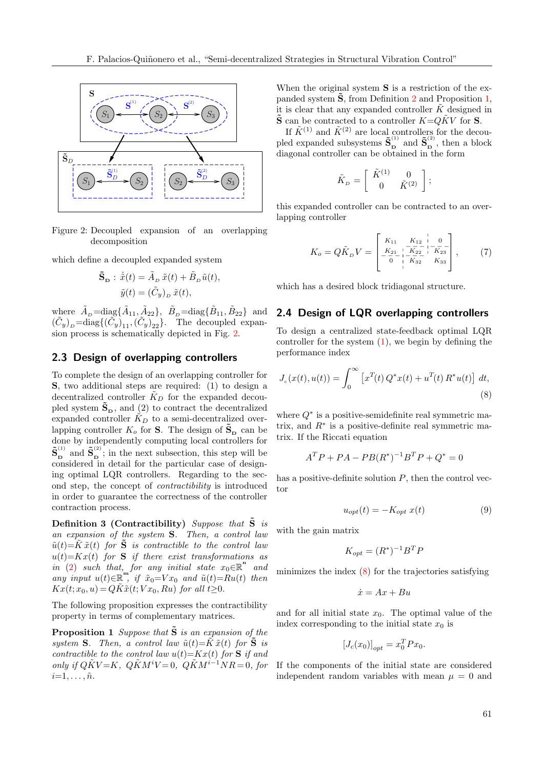

<span id="page-4-0"></span>Figure 2: Decoupled expansion of an overlapping decomposition

which define a decoupled expanded system

$$
\tilde{\mathbf{S}}_{\mathbf{D}} : \dot{\tilde{x}}(t) = \tilde{A}_{\scriptscriptstyle D} \, \tilde{x}(t) + \tilde{B}_{\scriptscriptstyle D} \, \tilde{u}(t),
$$

$$
\tilde{y}(t) = (\tilde{C}_y)_{\scriptscriptstyle D} \, \tilde{x}(t),
$$

where  $\tilde{A}_{D} = \text{diag}\{\tilde{A}_{11}, \tilde{A}_{22}\}, \ \tilde{B}_{D} = \text{diag}\{\tilde{B}_{11}, \tilde{B}_{22}\}$  and  $(\tilde{C}_y)_D = \text{diag}\{(\tilde{C}_y)_1, (\tilde{C}_y)_2\}.$  The decoupled expansion process is schematically depicted in Fig. [2.](#page-4-0)

#### 2.3 Design of overlapping controllers

To complete the design of an overlapping controller for S, two additional steps are required: (1) to design a decentralized controller  $\tilde{K}_D$  for the expanded decoupled system  $\tilde{\mathbf{S}}_{\mathbf{D}}$ , and (2) to contract the decentralized expanded controller  $\tilde{K}_D$  to a semi-decentralized overlapping controller  $K_o$  for **S**. The design of  $\tilde{\mathbf{S}}_{\mathbf{D}}$  can be done by independently computing local controllers for  $\tilde{\mathbf{S}}_{_{\mathbf{D}}}^{^{(1)}}$  $_{\mathbf{D}}^{^{(1)}}$  and  $\tilde{\mathbf{S}}_{\mathbf{D}}^{^{(2)}}$  $\sum_{\mathbf{D}}^{(2)}$ ; in the next subsection, this step will be considered in detail for the particular case of designing optimal LQR controllers. Regarding to the second step, the concept of contractibility is introduced in order to guarantee the correctness of the controller contraction process.

Definition 3 (Contractibility) Suppose that  $\tilde{S}$  is an expansion of the system S. Then, a control law  $\tilde{u}(t)=\tilde{K}\tilde{x}(t)$  for  $\tilde{S}$  is contractible to the control law  $u(t)=Kx(t)$  for **S** if there exist transformations as  $\overline{in}$  [\(2\)](#page-2-3) such that, for any initial state  $x_0 \in \mathbb{R}^n$  and any input  $u(t) \in \mathbb{R}^{m}$ , if  $\tilde{x}_0 = V x_0$  and  $\tilde{u}(t) = R u(t)$  then  $Kx(t; x_0, u) = QK\tilde{x}(t; Vx_0, Ru)$  for all  $t \geq 0$ .

The following proposition expresses the contractibility property in terms of complementary matrices.

**Proposition 1** Suppose that  $\tilde{S}$  is an expansion of the system S. Then, a control law  $\tilde{u}(t) = \tilde{K} \tilde{x}(t)$  for  $\tilde{S}$  is contractible to the control law  $u(t)=Kx(t)$  for **S** if and only if  $Q\tilde{K}V=K$ ,  $Q\tilde{K}M^iV=0$ ,  $Q\tilde{K}M^{i-1}NR=0$ , for  $i=1,\ldots,\tilde{n}$ .

When the original system **S** is a restriction of the expanded system  $\hat{S}$ , from Definition [2](#page-2-4) and Proposition [1,](#page-4-1) it is clear that any expanded controller  $\tilde{K}$  designed in  $\tilde{\mathbf{S}}$  can be contracted to a controller  $K = Q\tilde{K}V$  for  $\mathbf{S}$ .

If  $\tilde{K}^{(1)}$  and  $\tilde{K}^{(2)}$  are local controllers for the decoupled expanded subsystems  $\tilde{\mathbf{S}}_{\mathbf{n}}^{(1)}$  $\mathbf{S}_{\mathbf{D}}^{(1)}$  and  $\mathbf{\tilde{S}}_{\mathbf{D}}^{(2)}$  $\int_{\mathbf{D}}^{\infty}$ , then a block diagonal controller can be obtained in the form

<span id="page-4-3"></span>
$$
\tilde{K}_D = \left[ \begin{array}{cc} \tilde{K}^{(1)} & 0 \\ 0 & \tilde{K}^{(2)} \end{array} \right];
$$

this expanded controller can be contracted to an overlapping controller

$$
K_o = Q\tilde{K}_D V = \begin{bmatrix} K_{11} & K_{12} & | & 0 \\ K_{21} & | & K_{22} & | & K_{23} \\ -\frac{K_{21}}{0} & | & K_{32} & K_{33} \\ | & | & | & K_{32} & K_{33} \end{bmatrix},
$$
 (7)

which has a desired block tridiagonal structure.

#### 2.4 Design of LQR overlapping controllers

To design a centralized state-feedback optimal LQR controller for the system  $(1)$ , we begin by defining the performance index

$$
J_c(x(t), u(t)) = \int_0^\infty \left[ x^T(t) Q^* x(t) + u^T(t) R^* u(t) \right] dt,
$$
\n(8)

where  $Q^*$  is a positive-semidefinite real symmetric matrix, and  $R^*$  is a positive-definite real symmetric matrix. If the Riccati equation

$$
A^T P + P A - P B (R^*)^{-1} B^T P + Q^* = 0
$$

has a positive-definite solution  $P$ , then the control vector

<span id="page-4-4"></span><span id="page-4-2"></span>
$$
u_{opt}(t) = -K_{opt} x(t) \tag{9}
$$

with the gain matrix

$$
K_{opt} = (R^*)^{-1}B^T P
$$

minimizes the index [\(8\)](#page-4-2) for the trajectories satisfying

$$
\dot{x} = Ax + Bu
$$

<span id="page-4-1"></span>and for all initial state  $x_0$ . The optimal value of the index corresponding to the initial state  $x_0$  is

$$
[J_c(x_0)]_{opt} = x_0^T P x_0.
$$

If the components of the initial state are considered independent random variables with mean  $\mu = 0$  and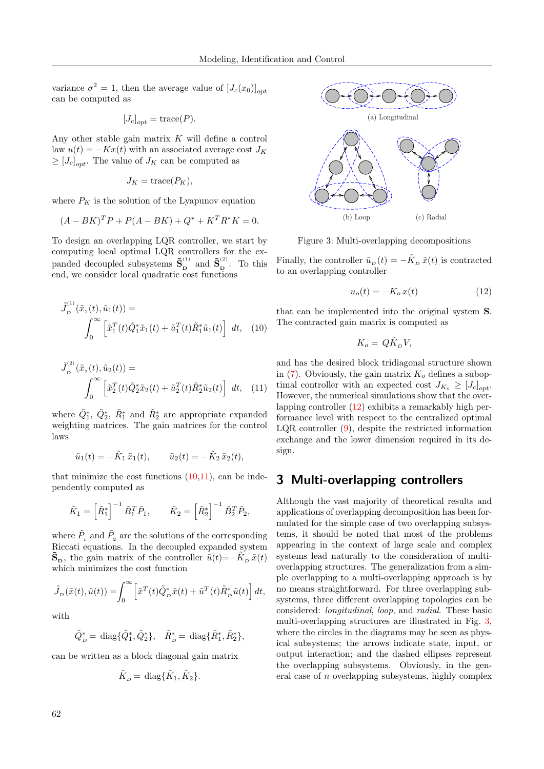variance  $\sigma^2 = 1$ , then the average value of  $[J_c(x_0)]_{opt}$ can be computed as

$$
[J_c]_{opt} = \text{trace}(P).
$$

Any other stable gain matrix  $K$  will define a control law  $u(t) = -Kx(t)$  with an associated average cost  $J_K$  $\geq [J_c]_{opt}$ . The value of  $J_K$  can be computed as

$$
J_K = \text{trace}(P_K),
$$

where  $P_K$  is the solution of the Lyapunov equation

$$
(A - BK)^T P + P(A - BK) + Q^* + K^T R^* K = 0.
$$

To design an overlapping LQR controller, we start by computing local optimal LQR controllers for the expanded decoupled subsystems  $\tilde{\mathbf{S}}_{\mathbf{n}}^{(1)}$  $\mathbf{S}_{\mathbf{D}}^{(1)}$  and  $\mathbf{\tilde{S}}_{\mathbf{D}}^{(2)}$  $\overline{D}$ . To this end, we consider local quadratic cost functions

$$
\tilde{J}_{D}^{(1)}(\tilde{x}_{1}(t), \tilde{u}_{1}(t)) = \int_{0}^{\infty} \left[ \tilde{x}_{1}^{T}(t)\tilde{Q}_{1}^{*}\tilde{x}_{1}(t) + \tilde{u}_{1}^{T}(t)\tilde{R}_{1}^{*}\tilde{u}_{1}(t) \right] dt, \quad (10)
$$

$$
\tilde{J}_{D}^{(2)}(\tilde{x}_{2}(t), \tilde{u}_{2}(t)) = \int_{0}^{\infty} \left[ \tilde{x}_{2}^{T}(t) \tilde{Q}_{2}^{*} \tilde{x}_{2}(t) + \tilde{u}_{2}^{T}(t) \tilde{R}_{2}^{*} \tilde{u}_{2}(t) \right] dt, (11)
$$

where  $\tilde{Q}_1^*, \tilde{Q}_2^*, \tilde{R}_1^*$  and  $\tilde{R}_2^*$  are appropriate expanded weighting matrices. The gain matrices for the control laws

$$
\tilde{u}_1(t) = -\tilde{K}_1 \tilde{x}_1(t), \qquad \tilde{u}_2(t) = -\tilde{K}_2 \tilde{x}_2(t),
$$

that minimize the cost functions  $(10,11)$  $(10,11)$ , can be independently computed as

$$
\tilde{K}_1 = \left[\tilde{R}_1^*\right]^{-1} \tilde{B}_1^T \tilde{P}_1, \qquad \tilde{K}_2 = \left[\tilde{R}_2^*\right]^{-1} \tilde{B}_2^T \tilde{P}_2,
$$

where  $\tilde{P}_1$  and  $\tilde{P}_2$  are the solutions of the corresponding Riccati equations. In the decoupled expanded system  $\tilde{\mathbf{S}}_{\mathbf{D}}$ , the gain matrix of the controller  $\tilde{u}(t) = -\tilde{K}_{\scriptscriptstyle{D}}\tilde{x}(t)$ which minimizes the cost function

$$
\tilde{J}_D(\tilde{x}(t),\tilde{u}(t)) = \int_0^\infty \left[ \tilde{x}^T(t)\tilde{Q}_D^*\tilde{x}(t) + \tilde{u}^T(t)\tilde{R}_D^*\tilde{u}(t) \right] dt,
$$

with

$$
\tilde{Q}_D^* = \text{diag}\{\tilde{Q}_1^*, \tilde{Q}_2^*\}, \quad \tilde{R}_D^* = \text{diag}\{\tilde{R}_1^*, \tilde{R}_2^*\},
$$

can be written as a block diagonal gain matrix

$$
\tilde{K}_D = \text{diag}\{\tilde{K}_1, \tilde{K}_2\}.
$$



<span id="page-5-3"></span>Figure 3: Multi-overlapping decompositions

Finally, the controller  $\tilde{u}_D(t) = -\tilde{K}_D \tilde{x}(t)$  is contracted to an overlapping controller

<span id="page-5-2"></span>
$$
u_o(t) = -K_o x(t) \tag{12}
$$

<span id="page-5-0"></span>that can be implemented into the original system S. The contracted gain matrix is computed as

$$
K_o = Q\tilde{K}_D V,
$$

<span id="page-5-1"></span>and has the desired block tridiagonal structure shown in [\(7\)](#page-4-3). Obviously, the gain matrix  $K<sub>o</sub>$  defines a suboptimal controller with an expected cost  $J_{K_o} \geq [J_c]_{opt}$ . However, the numerical simulations show that the overlapping controller [\(12\)](#page-5-2) exhibits a remarkably high performance level with respect to the centralized optimal LQR controller [\(9\)](#page-4-4), despite the restricted information exchange and the lower dimension required in its design.

# <span id="page-5-4"></span>3 Multi-overlapping controllers

Although the vast majority of theoretical results and applications of overlapping decomposition has been formulated for the simple case of two overlapping subsystems, it should be noted that most of the problems appearing in the context of large scale and complex systems lead naturally to the consideration of multioverlapping structures. The generalization from a simple overlapping to a multi-overlapping approach is by no means straightforward. For three overlapping subsystems, three different overlapping topologies can be considered: longitudinal, loop, and radial. These basic multi-overlapping structures are illustrated in Fig. [3,](#page-5-3) where the circles in the diagrams may be seen as physical subsystems; the arrows indicate state, input, or output interaction; and the dashed ellipses represent the overlapping subsystems. Obviously, in the general case of  $n$  overlapping subsystems, highly complex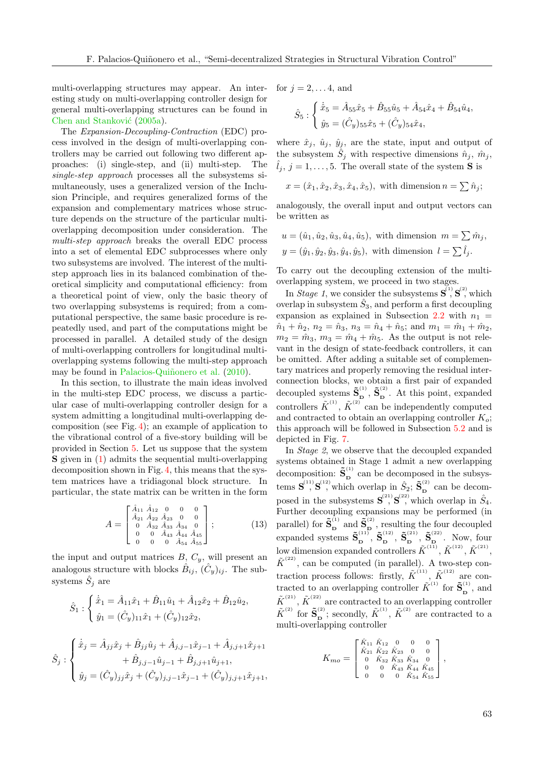multi-overlapping structures may appear. An interesting study on multi-overlapping controller design for general multi-overlapping structures can be found in Chen and Stanković [\(2005a\)](#page-15-13).

The Expansion-Decoupling-Contraction (EDC) process involved in the design of multi-overlapping controllers may be carried out following two different approaches: (i) single-step, and (ii) multi-step. The single-step approach processes all the subsystems simultaneously, uses a generalized version of the Inclusion Principle, and requires generalized forms of the expansion and complementary matrices whose structure depends on the structure of the particular multioverlapping decomposition under consideration. The multi-step approach breaks the overall EDC process into a set of elemental EDC subprocesses where only two subsystems are involved. The interest of the multistep approach lies in its balanced combination of theoretical simplicity and computational efficiency: from a theoretical point of view, only the basic theory of two overlapping subsystems is required; from a computational perspective, the same basic procedure is repeatedly used, and part of the computations might be processed in parallel. A detailed study of the design of multi-overlapping controllers for longitudinal multioverlapping systems following the multi-step approach may be found in Palacios-Quiñonero et al. [\(2010\)](#page-16-11).

In this section, to illustrate the main ideas involved in the multi-step EDC process, we discuss a particular case of multi-overlapping controller design for a system admitting a longitudinal multi-overlapping decomposition (see Fig. [4\)](#page-7-0); an example of application to the vibrational control of a five-story building will be provided in Section [5.](#page-9-0) Let us suppose that the system S given in [\(1\)](#page-1-0) admits the sequential multi-overlapping decomposition shown in Fig. [4,](#page-7-0) this means that the system matrices have a tridiagonal block structure. In particular, the state matrix can be written in the form

$$
A = \begin{bmatrix} \hat{A}_{11} & \hat{A}_{12} & 0 & 0 & 0 \\ \hat{A}_{21} & \hat{A}_{22} & \hat{A}_{23} & 0 & 0 \\ 0 & \hat{A}_{32} & \hat{A}_{33} & \hat{A}_{34} & 0 \\ 0 & 0 & \hat{A}_{43} & \hat{A}_{44} & \hat{A}_{45} \\ 0 & 0 & 0 & \hat{A}_{54} & \hat{A}_{55} \end{bmatrix};
$$
(13)

the input and output matrices  $B, C_y$ , will present an analogous structure with blocks  $\hat{B}_{ij}$ ,  $(\hat{C}_y)_{ij}$ . The subsystems  $\hat{S}_j$  are

$$
\hat{S}_1 : \begin{cases} \n\dot{\hat{x}}_1 = \hat{A}_{11}\hat{x}_1 + \hat{B}_{11}\hat{u}_1 + \hat{A}_{12}\hat{x}_2 + \hat{B}_{12}\hat{u}_2, \\
\hat{y}_1 = (\hat{C}_y)_{11}\hat{x}_1 + (\hat{C}_y)_{12}\hat{x}_2, \\
& \hat{x}_j : \begin{cases} \n\dot{\hat{x}}_j = \hat{A}_{jj}\hat{x}_j + \hat{B}_{jj}\hat{u}_j + \hat{A}_{j,j-1}\hat{x}_{j-1} + \hat{A}_{j,j+1}\hat{x}_{j+1} \\
+ \hat{B}_{j,j-1}\hat{u}_{j-1} + \hat{B}_{j,j+1}\hat{u}_{j+1}, \\
\hat{y}_j = (\hat{C}_y)_{jj}\hat{x}_j + (\hat{C}_y)_{j,j-1}\hat{x}_{j-1} + (\hat{C}_y)_{j,j+1}\hat{x}_{j+1},\n\end{cases}
$$

for  $j = 2, \ldots 4$ , and

$$
\hat{S}_5 : \begin{cases} \dot{\hat{x}}_5 = \hat{A}_{55}\hat{x}_5 + \hat{B}_{55}\hat{u}_5 + \hat{A}_{54}\hat{x}_4 + \hat{B}_{54}\hat{u}_4, \\ \hat{y}_5 = (\hat{C}_y)_{55}\hat{x}_5 + (\hat{C}_y)_{54}\hat{x}_4, \end{cases}
$$

where  $\hat{x}_j$ ,  $\hat{u}_j$ ,  $\hat{y}_j$ , are the state, input and output of the subsystem  $\hat{S}_j$  with respective dimensions  $\hat{n}_j$ ,  $\hat{m}_j$ ,  $\hat{l}_i, j = 1, \ldots, 5$ . The overall state of the system **S** is

$$
x = (\hat{x}_1, \hat{x}_2, \hat{x}_3, \hat{x}_4, \hat{x}_5),
$$
 with dimension  $n = \sum \hat{n}_j$ ;

analogously, the overall input and output vectors can be written as

$$
u = (\hat{u}_1, \hat{u}_2, \hat{u}_3, \hat{u}_4, \hat{u}_5),
$$
 with dimension  $m = \sum \hat{m}_j$ ,  
\n
$$
y = (\hat{y}_1, \hat{y}_2, \hat{y}_3, \hat{y}_4, \hat{y}_5),
$$
 with dimension  $l = \sum \hat{l}_j$ .

To carry out the decoupling extension of the multioverlapping system, we proceed in two stages.

In *Stage 1*, we consider the subsystems  $S^{(1)}$ ,  $S^{(2)}$ , which overlap in subsystem  $\hat{S}_3$ , and perform a first decoupling expansion as explained in Subsection [2.2](#page-2-5) with  $n_1$  =  $\hat{n}_1 + \hat{n}_2$ ,  $n_2 = \hat{n}_3$ ,  $n_3 = \hat{n}_4 + \hat{n}_5$ ; and  $m_1 = \hat{m}_1 + \hat{m}_2$ ,  $m_2 = \hat{m}_3$ ,  $m_3 = \hat{m}_4 + \hat{m}_5$ . As the output is not relevant in the design of state-feedback controllers, it can be omitted. After adding a suitable set of complementary matrices and properly removing the residual interconnection blocks, we obtain a first pair of expanded decoupled systems  $\tilde{\mathbf{S}}_{\mathbf{n}}^{(1)}$  $\mathbf{\tilde{S}}_\mathbf{D}^{(2)},\ \mathbf{\tilde{S}}_\mathbf{D}^{(2)}$  $\int_{\mathbf{D}}^{\infty}$ . At this point, expanded controllers  $\tilde{K}^{(1)}$ ,  $\tilde{K}^{(2)}$  can be independently computed and contracted to obtain an overlapping controller  $K_{\alpha}$ ; this approach will be followed in Subsection [5.2](#page-10-0) and is depicted in Fig. [7.](#page-10-1)

<span id="page-6-0"></span>In Stage 2, we observe that the decoupled expanded systems obtained in Stage 1 admit a new overlapping decomposition:  $\tilde{\mathbf{S}}_{\mathbf{n}}^{(1)}$  $\sum_{n=0}^{\infty}$  can be decomposed in the subsystems  $\mathbf{S}^{(11)}$ ,  $\mathbf{S}^{(12)}$ , which overlap in  $\hat{S}_2$ ;  $\tilde{\mathbf{S}}_R^{(2)}$  $\sum_{\mathbf{D}}^{\infty}$  can be decomposed in the subsystems  $S^{(2)}$ ,  $S^{(2)}$ , which overlap in  $\hat{S}_4$ . Further decoupling expansions may be performed (in parallel) for  $\tilde{\mathbf{S}}_{\mathbf{p}}^{(1)}$  $_{\text{D}}^{^{(1)}}$  and  $\tilde{\text{S}}_{_{\text{D}}}^{^{(2)}}$  $\sum_{n=1}^{\infty}$ , resulting the four decoupled expanded systems  $\tilde{\mathbf{S}}_{\mathbf{n}}^{(11)}$  $\mathbf{\tilde{S}}_\mathbf{D}^{(12)},\ \mathbf{\tilde{S}}_\mathbf{D}^{(12)}$  $\mathbf{\tilde{S}}_{\mathbf{D}}^{(21)}, \ \mathbf{\tilde{S}}_{\mathbf{D}}^{(21)}$  $\mathbf{\tilde{S}}_{\mathbf{D}}^{(22)}, \ \mathbf{\tilde{S}}_{\mathbf{D}}^{(22)}$  $\sum_{\mathbf{D}}^{(22)}$ . Now, four low dimension expanded controllers  $\tilde{K}^{(11)}$ ,  $\tilde{K}^{(12)}$ ,  $\tilde{K}^{(21)}$ ,  $\tilde{K}^{(22)}$ , can be computed (in parallel). A two-step contraction process follows: firstly,  $\tilde{K}^{(11)}$ ,  $\tilde{K}^{(12)}$  are contracted to an overlapping controller  $\tilde{K}^{(1)}$  for  $\tilde{\mathbf{S}}_{\mathbf{p}}^{(1)}$ , and  $\tilde{K}^{(21)}$ ,  $\tilde{K}^{(22)}$  are contracted to an overlapping controller  $\tilde{K}^{(2)}$  for  $\tilde{\mathbf{S}}_{\mathbf{D}}^{(2)}$  $\tilde{\mathbf{F}}_{\mathbf{D}}^{(2)}$ ; secondly,  $\tilde{K}^{(1)}$ ,  $\tilde{K}^{(2)}$  are contracted to a multi-overlapping controller

$$
K_{mo} = \begin{bmatrix} \hat{K}_{11} & \hat{K}_{12} & 0 & 0 & 0 \\ \hat{K}_{21} & \hat{K}_{22} & \hat{K}_{23} & 0 & 0 \\ 0 & \hat{K}_{32} & \hat{K}_{33} & \hat{K}_{34} & 0 \\ 0 & 0 & \hat{K}_{43} & \hat{K}_{44} & \hat{K}_{45} \\ 0 & 0 & 0 & \hat{K}_{54} & \hat{K}_{55} \end{bmatrix},
$$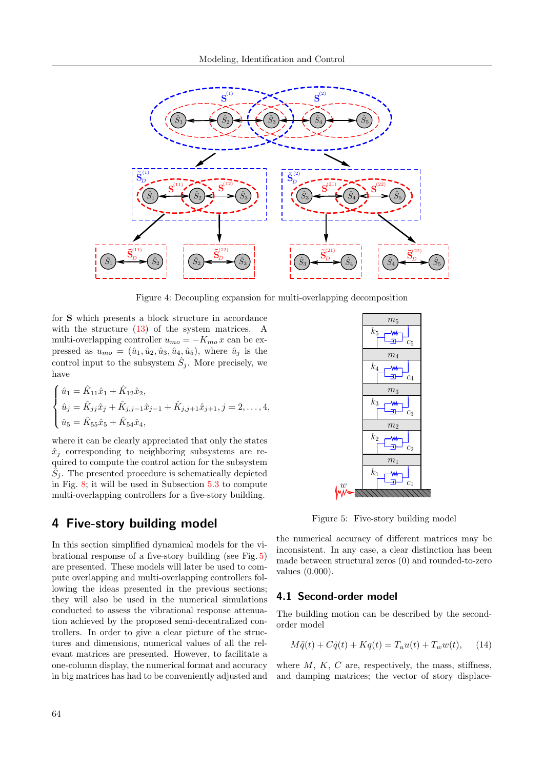

<span id="page-7-0"></span>Figure 4: Decoupling expansion for multi-overlapping decomposition

for S which presents a block structure in accordance with the structure  $(13)$  of the system matrices. A multi-overlapping controller  $u_{mo} = -K_{mo} x$  can be expressed as  $u_{mo} = (\hat{u}_1, \hat{u}_2, \hat{u}_3, \hat{u}_4, \hat{u}_5)$ , where  $\hat{u}_j$  is the control input to the subsystem  $\hat{S}_j$ . More precisely, we have

$$
\begin{cases} \n\hat{u}_1 = \hat{K}_{11}\hat{x}_1 + \hat{K}_{12}\hat{x}_2, \\ \n\hat{u}_j = \hat{K}_{jj}\hat{x}_j + \hat{K}_{j,j-1}\hat{x}_{j-1} + \hat{K}_{j,j+1}\hat{x}_{j+1}, j = 2, \dots, 4, \\ \n\hat{u}_5 = \hat{K}_{55}\hat{x}_5 + \hat{K}_{54}\hat{x}_4, \n\end{cases}
$$

where it can be clearly appreciated that only the states  $\hat{x}_i$  corresponding to neighboring subsystems are required to compute the control action for the subsystem  $\hat{S}_j$ . The presented procedure is schematically depicted in Fig. [8;](#page-12-0) it will be used in Subsection [5.3](#page-11-0) to compute multi-overlapping controllers for a five-story building.

## <span id="page-7-4"></span>4 Five-story building model

In this section simplified dynamical models for the vibrational response of a five-story building (see Fig. [5\)](#page-7-1) are presented. These models will later be used to compute overlapping and multi-overlapping controllers following the ideas presented in the previous sections; they will also be used in the numerical simulations conducted to assess the vibrational response attenuation achieved by the proposed semi-decentralized controllers. In order to give a clear picture of the structures and dimensions, numerical values of all the relevant matrices are presented. However, to facilitate a one-column display, the numerical format and accuracy in big matrices has had to be conveniently adjusted and



<span id="page-7-1"></span>Figure 5: Five-story building model

the numerical accuracy of different matrices may be inconsistent. In any case, a clear distinction has been made between structural zeros (0) and rounded-to-zero values (0.000).

#### <span id="page-7-3"></span>4.1 Second-order model

The building motion can be described by the secondorder model

<span id="page-7-2"></span>
$$
M\ddot{q}(t) + C\dot{q}(t) + Kq(t) = T_u u(t) + T_w w(t), \quad (14)
$$

where  $M$ ,  $K$ ,  $C$  are, respectively, the mass, stiffness, and damping matrices; the vector of story displace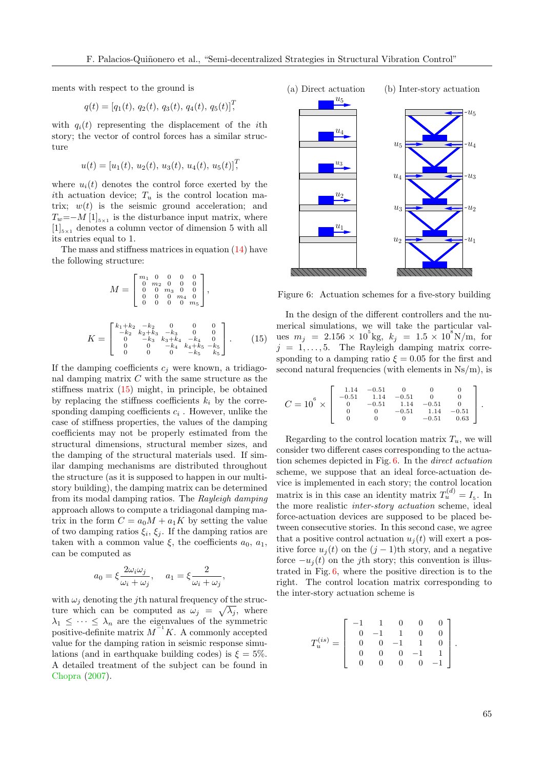ments with respect to the ground is

$$
q(t) = [q_1(t), q_2(t), q_3(t), q_4(t), q_5(t)]^T
$$

with  $q_i(t)$  representing the displacement of the *i*th story; the vector of control forces has a similar structure

$$
u(t) = [u_1(t), u_2(t), u_3(t), u_4(t), u_5(t)]^T
$$

where  $u_i(t)$  denotes the control force exerted by the ith actuation device;  $T_u$  is the control location matrix;  $w(t)$  is the seismic ground acceleration; and  $T_w = -M [1]_{5\times 1}$  is the disturbance input matrix, where  $[1]_{5\times1}$  denotes a column vector of dimension 5 with all its entries equal to 1.

The mass and stiffness matrices in equation [\(14\)](#page-7-2) have the following structure:

$$
M = \begin{bmatrix} m_1 & 0 & 0 & 0 & 0 \\ 0 & m_2 & 0 & 0 & 0 \\ 0 & 0 & m_3 & 0 & 0 \\ 0 & 0 & 0 & m_4 & 0 \\ 0 & 0 & 0 & 0 & m_5 \end{bmatrix},
$$
  

$$
K = \begin{bmatrix} k_1 + k_2 & -k_2 & 0 & 0 & 0 \\ -k_2 & k_2 + k_3 & -k_3 & 0 & 0 \\ 0 & -k_3 & k_3 + k_4 & -k_4 & 0 \\ 0 & 0 & -k_4 & k_4 + k_5 & -k_5 \\ 0 & 0 & 0 & -k_5 & k_5 \end{bmatrix}.
$$
 (15)

If the damping coefficients  $c_i$  were known, a tridiagonal damping matrix C with the same structure as the stiffness matrix [\(15\)](#page-8-0) might, in principle, be obtained by replacing the stiffness coefficients  $k_i$  by the corresponding damping coefficients  $c_i$ . However, unlike the case of stiffness properties, the values of the damping coefficients may not be properly estimated from the structural dimensions, structural member sizes, and the damping of the structural materials used. If similar damping mechanisms are distributed throughout the structure (as it is supposed to happen in our multistory building), the damping matrix can be determined from its modal damping ratios. The Rayleigh damping approach allows to compute a tridiagonal damping matrix in the form  $C = a_0M + a_1K$  by setting the value of two damping ratios  $\xi_i$ ,  $\xi_j$ . If the damping ratios are taken with a common value  $\xi$ , the coefficients  $a_0, a_1$ , can be computed as

$$
a_0 = \xi \frac{2\omega_i \omega_j}{\omega_i + \omega_j}, \quad a_1 = \xi \frac{2}{\omega_i + \omega_j},
$$

with  $\omega_i$  denoting the *j*th natural frequency of the structure which can be computed as  $\omega_j = \sqrt{\lambda_j}$ , where  $\lambda_1 \leq \cdots \leq \lambda_n$  are the eigenvalues of the symmetric positive-definite matrix  $M^{-1}K$ . A commonly accepted value for the damping ration in seismic response simulations (and in earthquake building codes) is  $\xi = 5\%$ . A detailed treatment of the subject can be found in [Chopra](#page-15-16) [\(2007\)](#page-15-16).



<span id="page-8-1"></span>Figure 6: Actuation schemes for a five-story building

<span id="page-8-0"></span>In the design of the different controllers and the numerical simulations, we will take the particular values  $m_j = 2.156 \times 10^5$ kg,  $k_j = 1.5 \times 10^8$ N/m, for  $j = 1, \ldots, 5$ . The Rayleigh damping matrix corresponding to a damping ratio  $\xi = 0.05$  for the first and second natural frequencies (with elements in  $Ns/m$ ), is

$$
C = 10^{6} \times \left[ \begin{array}{rrrrr} 1.14 & -0.51 & 0 & 0 & 0 \\ -0.51 & 1.14 & -0.51 & 0 & 0 \\ 0 & -0.51 & 1.14 & -0.51 & 0 \\ 0 & 0 & -0.51 & 1.14 & -0.51 \\ 0 & 0 & 0 & -0.51 & 0.63 \end{array} \right].
$$

Regarding to the control location matrix  $T_u$ , we will consider two different cases corresponding to the actuation schemes depicted in Fig. [6.](#page-8-1) In the direct actuation scheme, we suppose that an ideal force-actuation device is implemented in each story; the control location matrix is in this case an identity matrix  $T_u^{(d)} = I_s$ . In the more realistic inter-story actuation scheme, ideal force-actuation devices are supposed to be placed between consecutive stories. In this second case, we agree that a positive control actuation  $u_i(t)$  will exert a positive force  $u_j(t)$  on the  $(j-1)$ th story, and a negative force  $-u_i(t)$  on the j<sup>th</sup> story; this convention is illustrated in Fig. [6,](#page-8-1) where the positive direction is to the right. The control location matrix corresponding to the inter-story actuation scheme is

$$
T_u^{(is)} = \left[\begin{array}{rrrrr} -1 & 1 & 0 & 0 & 0 \\ 0 & -1 & 1 & 0 & 0 \\ 0 & 0 & -1 & 1 & 0 \\ 0 & 0 & 0 & -1 & 1 \\ 0 & 0 & 0 & 0 & -1 \end{array}\right].
$$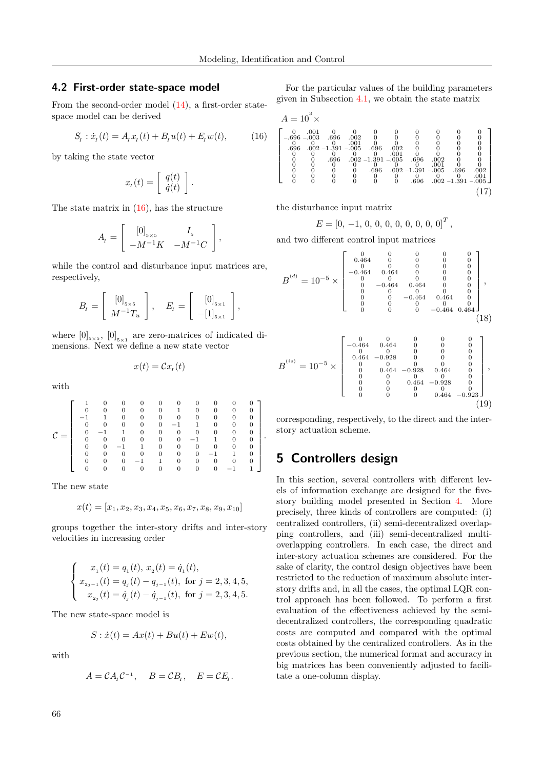#### 4.2 First-order state-space model

From the second-order model [\(14\)](#page-7-2), a first-order statespace model can be derived

<span id="page-9-1"></span>
$$
S_t: \dot{x}_t(t) = A_t x_t(t) + B_t u(t) + E_t w(t), \tag{16}
$$

by taking the state vector

$$
x_{t}(t) = \left[ \begin{array}{c} q(t) \\ \dot{q}(t) \end{array} \right].
$$

The state matrix in [\(16\)](#page-9-1), has the structure

$$
A_{I} = \begin{bmatrix} [0]_{5 \times 5} & I_{5} \\ -M^{-1}K & -M^{-1}C \end{bmatrix},
$$

while the control and disturbance input matrices are, respectively,

$$
B_t = \left[ \begin{array}{c} [0]_{5 \times 5} \\ M^{-1} T_u \end{array} \right], \quad E_t = \left[ \begin{array}{c} [0]_{5 \times 1} \\ -[1]_{5 \times 1} \end{array} \right],
$$

where  $[0]_{5\times 5}$ ,  $[0]_{5\times 1}$  are zero-matrices of indicated dimensions. Next we define a new state vector

$$
x(t) = \mathcal{C}x_t(t)
$$

with

|  |                | 0              | 0              |                |                | 0              | 0              | 0              |          |  |
|--|----------------|----------------|----------------|----------------|----------------|----------------|----------------|----------------|----------|--|
|  |                | 0              | 0              | 0              | $\overline{0}$ | 0              | 0              | 0              |          |  |
|  | $\Omega$       | $\overline{0}$ | $\overline{0}$ | $\overline{0}$ |                |                | 0              | $\overline{0}$ | 0        |  |
|  |                |                | $\overline{0}$ | 0              | $\overline{0}$ | $\overline{0}$ | $\overline{0}$ | 0              | 0        |  |
|  | $\overline{0}$ | $\overline{0}$ | $\overline{0}$ | 0              | $\overline{0}$ |                |                | 0              | $\Omega$ |  |
|  | $\Omega$       |                |                | 0              | $\overline{0}$ | 0              |                | 0              | $\Omega$ |  |
|  | 0              | 0              | 0              | 0              | 0              | 0              | $-1$           |                | $\Omega$ |  |
|  | $\Omega$       | 0              |                |                | 0              | 0              | 0              | 0              | $\Omega$ |  |
|  |                |                |                |                |                | 0              |                |                |          |  |

The new state

$$
x(t) = [x_1, x_2, x_3, x_4, x_5, x_6, x_7, x_8, x_9, x_{10}]
$$

groups together the inter-story drifts and inter-story velocities in increasing order

$$
\label{eq:1} \left\{ \begin{array}{l} x_{\scriptscriptstyle 1}(t) = q_{\scriptscriptstyle 1}(t), \, x_{\scriptscriptstyle 2}(t) = \dot{q}_{\scriptscriptstyle 1}(t), \\[0.2cm] x_{\scriptscriptstyle 2j-1}(t) = q_{\scriptscriptstyle j}(t) - q_{\scriptscriptstyle j-1}(t), \text{ for } j=2,3,4,5, \\[0.2cm] x_{\scriptscriptstyle 2j}(t) = \dot{q}_{\scriptscriptstyle j}(t) - \dot{q}_{\scriptscriptstyle j-1}(t), \text{ for } j=2,3,4,5. \end{array} \right.
$$

The new state-space model is

$$
S: \dot{x}(t) = Ax(t) + Bu(t) + Ew(t),
$$

with

$$
A = \mathcal{C}A_t\mathcal{C}^{-1}, \quad B = \mathcal{C}B_t, \quad E = \mathcal{C}E_t.
$$

For the particular values of the building parameters given in Subsection [4.1,](#page-7-3) we obtain the state matrix

$$
A = 103 \times
$$
\n
$$
\begin{bmatrix}\n0 & .001 & 0 & 0 & 0 & 0 & 0 & 0 & 0 & 0 \\
-.696 - .003 & .696 & .002 & 0 & 0 & 0 & 0 & 0 & 0 \\
0 & 0 & 0 & .001 & 0 & 0 & 0 & 0 & 0 & 0 \\
.696 & .002 - 1.391 - .005 & .696 & .002 & 0 & 0 & 0 & 0 \\
0 & 0 & .696 & .002 - 1.391 - .005 & .696 & .002 & 0 & 0 \\
0 & 0 & .696 & .002 - 1.391 - .005 & .696 & .002 & 0 \\
0 & 0 & 0 & 0 & .696 & .002 - 1.391 - .005 & .696 & .002 \\
0 & 0 & 0 & 0 & 0 & .696 & .002 - 1.391 - .005\n\end{bmatrix}
$$
\n
$$
\begin{bmatrix}\n17\n\end{bmatrix}
$$

the disturbance input matrix

$$
E = [0, -1, 0, 0, 0, 0, 0, 0, 0, 0]^T
$$

<span id="page-9-4"></span><span id="page-9-3"></span><span id="page-9-2"></span>,

and two different control input matrices

$$
B^{(d)} = 10^{-5} \times \begin{bmatrix} 0 & 0 & 0 & 0 & 0 & 0 \\ 0.464 & 0 & 0 & 0 & 0 & 0 \\ 0 & 0 & 0 & 0 & 0 & 0 \\ -0.464 & 0.464 & 0 & 0 & 0 \\ 0 & -0.464 & 0.464 & 0 & 0 \\ 0 & 0 & 0 & 0 & 0 & 0 \\ 0 & 0 & -0.464 & 0.464 & 0 \\ 0 & 0 & 0 & -0.464 & 0.464 \\ 0 & 0 & 0 & 0 & 0 \\ 0 & 0 & 0 & 0 & 0 \\ 0 & 0 & 0 & 0 & 0 \\ 0.464 & -0.928 & 0 & 0 & 0 \\ 0.464 & -0.928 & 0 & 0 & 0 \\ 0 & 0 & 0 & 0 & 0 & 0 \\ 0 & 0 & 0 & 0 & 0 & 0 \\ 0 & 0 & 0 & 0 & 0 & 0 \\ 0 & 0 & 0 & 0 & 0 & 0 \\ 0 & 0 & 0 & 0 & 0 & 0 \\ 0 & 0 & 0 & 0 & 0 & 0 \\ 0 & 0 & 0 & 0 & 0.464 & -0.923 \end{bmatrix},
$$
\n
$$
(18)
$$

corresponding, respectively, to the direct and the interstory actuation scheme.

# <span id="page-9-0"></span>5 Controllers design

.

In this section, several controllers with different levels of information exchange are designed for the fivestory building model presented in Section [4.](#page-7-4) More precisely, three kinds of controllers are computed: (i) centralized controllers, (ii) semi-decentralized overlapping controllers, and (iii) semi-decentralized multioverlapping controllers. In each case, the direct and inter-story actuation schemes are considered. For the sake of clarity, the control design objectives have been restricted to the reduction of maximum absolute interstory drifts and, in all the cases, the optimal LQR control approach has been followed. To perform a first evaluation of the effectiveness achieved by the semidecentralized controllers, the corresponding quadratic costs are computed and compared with the optimal costs obtained by the centralized controllers. As in the previous section, the numerical format and accuracy in big matrices has been conveniently adjusted to facilitate a one-column display.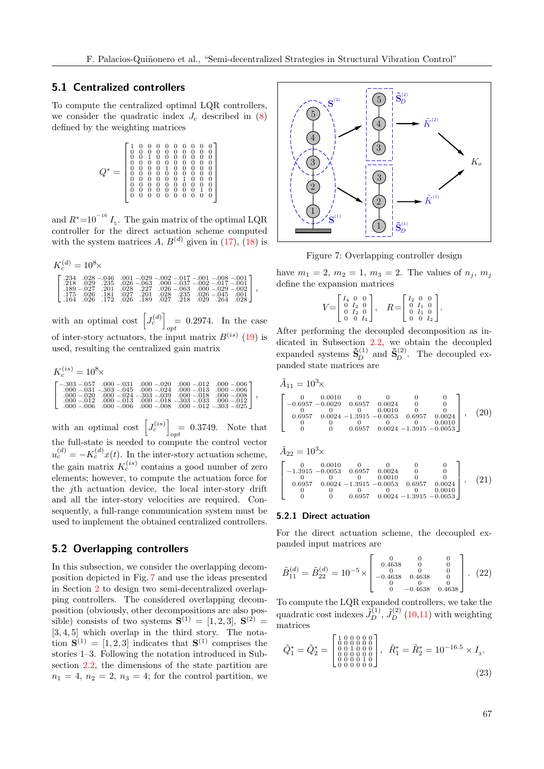#### 5.1 Centralized controllers

To compute the centralized optimal LQR controllers, we consider the quadratic index  $J_c$  described in [\(8\)](#page-4-2) defined by the weighting matrices

$$
Q^* = \left[\begin{smallmatrix} 1 & 0 & 0 & 0 & 0 & 0 & 0 & 0 & 0 & 0 \\ 0 & 0 & 0 & 0 & 0 & 0 & 0 & 0 & 0 & 0 \\ 0 & 0 & 1 & 0 & 0 & 0 & 0 & 0 & 0 & 0 \\ 0 & 0 & 0 & 0 & 0 & 0 & 0 & 0 & 0 & 0 \\ 0 & 0 & 0 & 0 & 1 & 0 & 0 & 0 & 0 & 0 \\ 0 & 0 & 0 & 0 & 0 & 0 & 1 & 0 & 0 & 0 \\ 0 & 0 & 0 & 0 & 0 & 0 & 1 & 0 & 0 & 0 \\ 0 & 0 & 0 & 0 & 0 & 0 & 0 & 0 & 1 & 0 \\ 0 & 0 & 0 & 0 & 0 & 0 & 0 & 0 & 0 & 0 & 0 \\ 0 & 0 & 0 & 0 & 0 & 0 & 0 & 0 & 0 & 0 & 0 \end{smallmatrix}\right]
$$

and  $R^*$ =10<sup>-16</sup>  $I_5$ . The gain matrix of the optimal LQR controller for the direct actuation scheme computed with the system matrices A,  $B^{(d)}$  given in [\(17\)](#page-9-2), [\(18\)](#page-9-3) is

| $K_c^{(d)} = 10^8 \times$                                                                                                                                                                                                                                                                                                                                                                                                                                                                                                       |  |  |
|---------------------------------------------------------------------------------------------------------------------------------------------------------------------------------------------------------------------------------------------------------------------------------------------------------------------------------------------------------------------------------------------------------------------------------------------------------------------------------------------------------------------------------|--|--|
| $\begin{bmatrix} .234 & .028 & -.046 & .001 & -.029 & -.002 & -.017 & -.001 & -.008 & -.001 \\ .218 & .029 & .235 & .026 & -.063 & .000 & -.037 & -.002 & -.017 & -.001 \end{bmatrix}$<br>$\frac{1}{189} - 0.027$ $\overline{201}$ $\overline{028}$ $\overline{227}$ $\overline{026} - 0.003$ $\overline{009} - 0.029 - 0.022$ ,<br>$\left[ \begin{array}{cccc} .175 & .026 & .181 & .027 & .201 & .028 & .235 & .026 & -045 & .001 \\ .164 & .026 & .172 & .026 & .189 & .027 & .218 & .029 & .264 & .028 \end{array} \right]$ |  |  |

with an optimal cost  $\left[J_c^{(d)}\right]$  $= 0.2974$ . In the case of inter-story actuators, the input matrix  $B^{(is)}$  [\(19\)](#page-9-4) is used, resulting the centralized gain matrix

$$
\begin{array}{l} K_c^{(is)} = 10^8 \times \\[-2.0ex] \left[ \begin{smallmatrix} -.303 & -.057 & .000 & -.031 & .000 & -.020 & .000 & -.012 & .000 & -.006 \\ -.000 & -.031 & -.303 & -.045 & .000 & -.024 & .000 & -.013 & .000 & -.006 \\ 000 & -.021 & .000 & -.024 & -.303 & -.039 & .000 & -.018 & .000 & -.008 \\ .000 & -.012 & .000 & -.013 & .000 & -.018 & -.303 & -.033 & .000 & -.012 \\ .000 & -.006 & .000 & -.006 & .000 & -.008 & .000 & -.012 & -.303 & -.025 \end{smallmatrix} \right], \end{array}
$$

with an optimal cost  $J_c^{(is)}$  $= 0.3749$ . Note that the full-state is needed to compute the control vector  $u_c^{(d)} = -K_c^{(d)}x(t)$ . In the inter-story actuation scheme, the gain matrix  $K_c^{(is)}$  contains a good number of zero elements; however, to compute the actuation force for the jth actuation device, the local inter-story drift and all the inter-story velocities are required. Consequently, a full-range communication system must be used to implement the obtained centralized controllers.

#### <span id="page-10-0"></span>5.2 Overlapping controllers

In this subsection, we consider the overlapping decomposition depicted in Fig. [7](#page-10-1) and use the ideas presented in Section [2](#page-1-1) to design two semi-decentralized overlapping controllers. The considered overlapping decomposition (obviously, other decompositions are also possible) consists of two systems  $S^{(1)} = [1, 2, 3], S^{(2)} =$  $[3, 4, 5]$  which overlap in the third story. The notation  $S^{(1)} = [1, 2, 3]$  indicates that  $S^{(1)}$  comprises the stories 1–3. Following the notation introduced in Subsection [2.2,](#page-2-5) the dimensions of the state partition are  $n_1 = 4$ ,  $n_2 = 2$ ,  $n_3 = 4$ ; for the control partition, we



<span id="page-10-1"></span>Figure 7: Overlapping controller design

have  $m_1 = 2, m_2 = 1, m_3 = 2$ . The values of  $n_j, m_j$ define the expansion matrices

$$
V = \begin{bmatrix} I_4 & 0 & 0 \\ 0 & I_2 & 0 \\ 0 & I_2 & 0 \\ 0 & 0 & I_4 \end{bmatrix}, \quad R = \begin{bmatrix} I_2 & 0 & 0 \\ 0 & I_1 & 0 \\ 0 & I_1 & 0 \\ 0 & 0 & I_2 \end{bmatrix}
$$

<span id="page-10-4"></span><span id="page-10-2"></span>.

After performing the decoupled decomposition as indicated in Subsection [2.2,](#page-2-5) we obtain the decoupled expanded systems  $\tilde{\mathbf{S}}_D^{(1)}$  and  $\tilde{\mathbf{S}}_D^{(2)}$ . The decoupled expanded state matrices are

$$
\tilde{A}_{11} = 10^3 \times
$$
\n
$$
\begin{bmatrix}\n0 & 0.0010 & 0 & 0 & 0 & 0 \\
-0.6957 & -0.0029 & 0.6957 & 0.0024 & 0 & 0 \\
0 & 0 & 0 & 0.0010 & 0 & 0 \\
0.6957 & 0.0024 & -1.3915 & -0.0053 & 0.6957 & 0.0024 \\
0 & 0 & 0 & 0 & 0 & 0 & 0.0010 \\
0 & 0 & 0.6957 & 0.0024 & -1.3915 & -0.0053\n\end{bmatrix}
$$
, (20)

$$
\tilde{A}_{22} = 10^3 \times
$$
\n
$$
\begin{bmatrix}\n0 & 0.0010 & 0 & 0 & 0 & 0 \\
-1.3915 & -0.0053 & 0.6957 & 0.0024 & 0 & 0 \\
0 & 0 & 0 & 0.0010 & 0 & 0 \\
0.6957 & 0.0024 & -1.3915 & -0.0053 & 0.6957 & 0.0024 \\
0 & 0 & 0 & 0.6957 & 0.0024 & -1.3915 & -0.0053\n\end{bmatrix}.
$$
\n(21)

#### 5.2.1 Direct actuation

For the direct actuation scheme, the decoupled expanded input matrices are

<span id="page-10-3"></span>
$$
\tilde{B}_{11}^{(d)} = \tilde{B}_{22}^{(d)} = 10^{-5} \times \begin{bmatrix} 0 & 0 & 0 \\ 0.4638 & 0 & 0 \\ 0 & 0 & 0 & 0 \\ -0.4638 & 0.4638 & 0 \\ 0 & 0 & 0 & 0 \\ 0 & -0.4638 & 0.4638 \end{bmatrix} . (22)
$$

To compute the LQR expanded controllers, we take the quadratic cost indexes  $\tilde{J}_D^{(1)}$ ,  $\tilde{J}_D^{(2)}$  [\(10](#page-5-0)[,11\)](#page-5-1) with weighting matrices

<span id="page-10-5"></span>
$$
\tilde{Q}_1^* = \tilde{Q}_2^* = \begin{bmatrix} 1 & 0 & 0 & 0 & 0 & 0 \\ 0 & 0 & 0 & 0 & 0 & 0 \\ 0 & 0 & 1 & 0 & 0 & 0 \\ 0 & 0 & 0 & 0 & 0 & 0 \\ 0 & 0 & 0 & 0 & 0 & 0 \end{bmatrix}, \quad \tilde{R}_1^* = \tilde{R}_2^* = 10^{-16.5} \times I_3.
$$
\n(23)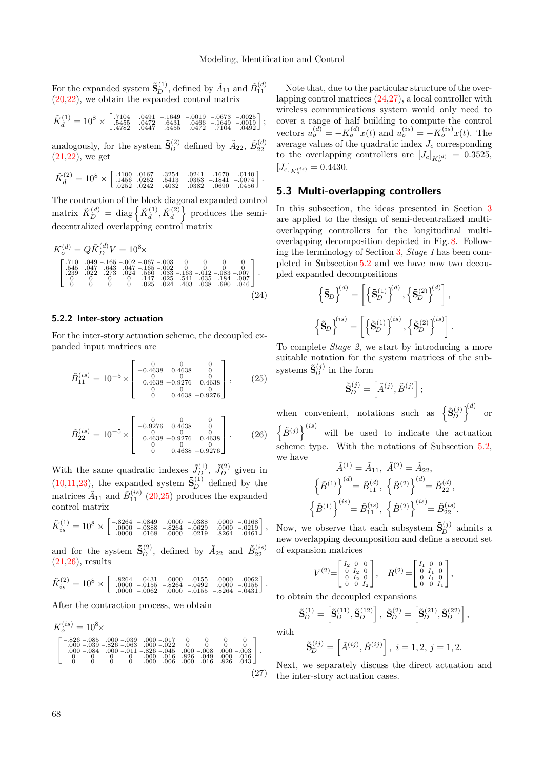For the expanded system  $\tilde{\mathbf{S}}_{D}^{(1)}$ , defined by  $\tilde{A}_{11}$  and  $\tilde{B}_{11}^{(d)}$ [\(20,](#page-10-2)[22\)](#page-10-3), we obtain the expanded control matrix

$$
\tilde K_d^{(1)} = 10^8 \times \left[\begin{smallmatrix} .7104 & .0491 & -.1649 & -.0019 & -.0673 & -.0025 \\ .5455 & .0472 & .6431 & .0466 & -.1649 & -.0019 \\ .4782 & .0447 & .5455 & .0472 & .7104 & .0492 \end{smallmatrix}\right];
$$

analogously, for the system  $\tilde{\mathbf{S}}_{D}^{(2)}$  defined by  $\tilde{A}_{22}$ ,  $\tilde{B}_{22}^{(d)}$ [\(21,](#page-10-4)[22\)](#page-10-3), we get

$$
\tilde K_d^{(2)} = 10^8 \times \left[\begin{smallmatrix} .4100 & .0167 & -.3254 & -.0241 & -.1670 & -.0140 \\ .1456 & .0252 & .5413 & .0353 & -.1841 & -.0074 \\ .0252 & .0242 & .4032 & .0382 & .0690 & .0456 \end{smallmatrix}\right].
$$

The contraction of the block diagonal expanded control matrix  $\tilde{K}_{D}^{(d)} = \text{diag}\left\{ \tilde{K}_{d}^{(1)}, \tilde{K}_{d}^{(2)} \right\}$  produces the semidecentralized overlapping control matrix

$$
K_o^{(d)} = Q \tilde{K}_D^{(d)} V = 10^8 \times
$$
  
\n
$$
\begin{bmatrix}\n.710 & .049 - .165 - .002 - .067 - .003 & 0 & 0 & 0 & 0 \\
.545 & .047 & .643 & .047 - .165 - .002 & 0 & 0 & 0 & 0 \\
.239 & .022 & .273 & .024 & .560 & .033 - .163 - .012 - .083 - .007 \\
.0 & 0 & .0 & .147 & .025 & .541 & .035 - .184 - .007 \\
.0 & 0 & 0 & .025 & .024 & .403 & .038 & .690 & .046\n\end{bmatrix}
$$
. (24)

#### 5.2.2 Inter-story actuation

For the inter-story actuation scheme, the decoupled expanded input matrices are

$$
\tilde{B}_{11}^{(is)} = 10^{-5} \times \begin{bmatrix} 0 & 0 & 0 \\ -0.4638 & 0.4638 & 0 \\ 0 & 0 & 0 & 0 \\ 0.4638 & -0.9276 & 0.4638 \\ 0 & 0 & 0 & 0 \\ 0 & 0.4638 & -0.9276 \end{bmatrix}, \quad (25)
$$

$$
\tilde{B}_{22}^{(is)} = 10^{-5} \times \begin{bmatrix} 0 & 0 & 0 \\ -0.9276 & 0.4638 & 0 \\ 0 & 0 & 0 & 0 \\ 0.4638 & -0.9276 & 0.4638 \\ 0 & 0 & 0 & 0 \\ 0 & 0.4638 & -0.9276 \end{bmatrix} . \tag{26}
$$

With the same quadratic indexes  $\tilde{J}_{D}^{(1)}$ ,  $\tilde{J}_{D}^{(2)}$  given in  $(10,11,23)$  $(10,11,23)$  $(10,11,23)$ , the expanded system  $\tilde{\mathbf{S}}_{D}^{(1)}$  defined by the matrices  $\tilde{A}_{11}$  and  $\tilde{B}_{11}^{(is)}$  [\(20,](#page-10-2)[25\)](#page-11-1) produces the expanded control matrix

$$
\tilde{K}_{is}^{(1)} = 10^8 \times \begin{bmatrix} -.8264 & -.0849 & .0000 & -.0388 & .0000 & -.0168 \\ .0000 & -.0388 & -.8264 & -.0629 & .0000 & -.0219 \\ .0000 & -.0168 & .0000 & -.0219 & -.8264 & -.0461 \end{bmatrix},
$$

and for the system  $\tilde{\mathbf{S}}_D^{(2)}$ , defined by  $\tilde{A}_{22}$  and  $\tilde{B}_{22}^{(is)}$  $(21,26)$  $(21,26)$ , results

$$
\tilde K_{is}^{(2)} = 10^8 \times \left[\begin{smallmatrix} -.8264 & -.0431 & .0000 & -.0155 & .0000 & -.0062 \\ .0000 & -.0155 & -.8264 & -.0492 & .0000 & -.0155 \\ .0000 & -.0062 & .0000 & -.0155 & -.8264 & -.0431 \end{smallmatrix}\right].
$$

After the contraction process, we obtain

$$
\begin{array}{l} K_o^{(is)}=10^8 \times \\[-2pt] \left[\begin{smallmatrix} -.826 & -.085 & 0.00 & -.039 & .000 & -.017 & 0 & 0 & 0 \\ .000 & -.039 & -.826 & -.063 & .000 & -.022 & 0 & 0 & 0 & 0 \\ .000 & -.039 & -.826 & -.063 & -0.045 & .000 & -.008 & .000 & -.003 \\ 0 & -0.084 & 0.00 & -.011 & -.826 & -.045 & .000 & -.006 & .000 & -.016 \\ 0 & 0 & 0 & 0 & .000 & -.006 & .000 & -.016 & -.826 & .043 \end{smallmatrix}\right]. \end{array} \tag{27}
$$

Note that, due to the particular structure of the overlapping control matrices [\(24,](#page-11-3)[27\)](#page-11-4), a local controller with wireless communications system would only need to cover a range of half building to compute the control vectors  $u_o^{(d)} = -K_o^{(d)}x(t)$  and  $u_o^{(is)} = -K_o^{(is)}x(t)$ . The average values of the quadratic index  $J_c$  corresponding to the overlapping controllers are  $[J_c]_{K_o^{(d)}} = 0.3525$ ,  $[J_c]_{K_o^{(is)}} = 0.4430.$ 

#### <span id="page-11-0"></span>5.3 Multi-overlapping controllers

In this subsection, the ideas presented in Section [3](#page-5-4) are applied to the design of semi-decentralized multioverlapping controllers for the longitudinal multioverlapping decomposition depicted in Fig. [8.](#page-12-0) Following the terminology of Section [3,](#page-5-4) Stage 1 has been completed in Subsection [5.2](#page-10-0) and we have now two decoupled expanded decompositions

<span id="page-11-3"></span>
$$
\left\{ \tilde{\mathbf{S}}_{D} \right\}^{(d)} = \left[ \left\{ \tilde{\mathbf{S}}_{D}^{(1)} \right\}^{(d)}, \left\{ \tilde{\mathbf{S}}_{D}^{(2)} \right\}^{(d)} \right],
$$

$$
\left\{ \tilde{\mathbf{S}}_{D} \right\}^{(is)} = \left[ \left\{ \tilde{\mathbf{S}}_{D}^{(1)} \right\}^{(is)}, \left\{ \tilde{\mathbf{S}}_{D}^{(2)} \right\}^{(is)} \right].
$$

<span id="page-11-1"></span>To complete Stage 2, we start by introducing a more suitable notation for the system matrices of the subsystems  $\tilde{\mathbf{S}}_{D}^{(j)}$  in the form

$$
\tilde{\mathbf{S}}_D^{(j)} = \left[ \tilde{A}^{(j)}, \tilde{B}^{(j)} \right];
$$

<span id="page-11-2"></span>when convenient, notations such as  $\left\{ \tilde{\mathbf{S}}_{D}^{(j)} \right\}^{(d)}$  or  $\left\{\tilde{B}^{(j)}\right\}^{(is)}$  will be used to indicate the actuation scheme type. With the notations of Subsection [5.2,](#page-10-0) we have

$$
\tilde{A}^{(1)} = \tilde{A}_{11}, \ \tilde{A}^{(2)} = \tilde{A}_{22},
$$
\n
$$
\left\{ \tilde{B}^{(1)} \right\}^{(d)} = \tilde{B}_{11}^{(d)}, \ \left\{ \tilde{B}^{(2)} \right\}^{(d)} = \tilde{B}_{22}^{(d)},
$$
\n
$$
\left\{ \tilde{B}^{(1)} \right\}^{(is)} = \tilde{B}_{11}^{(is)}, \ \left\{ \tilde{B}^{(2)} \right\}^{(is)} = \tilde{B}_{22}^{(is)}.
$$

Now, we observe that each subsystem  $\tilde{\mathbf{S}}_D^{(j)}$  admits a new overlapping decomposition and define a second set of expansion matrices

$$
V^{(2)} = \begin{bmatrix} I_2 & 0 & 0 \\ 0 & I_2 & 0 \\ 0 & I_2 & 0 \\ 0 & 0 & I_2 \end{bmatrix}, \quad R^{(2)} = \begin{bmatrix} I_1 & 0 & 0 \\ 0 & I_1 & 0 \\ 0 & I_1 & 0 \\ 0 & 0 & I_1 \end{bmatrix},
$$

to obtain the decoupled expansions

$$
\tilde{\mathbf{S}}^{(1)}_{D} = \left[ \tilde{\mathbf{S}}^{(11)}_{D}, \tilde{\mathbf{S}}^{(12)}_{D} \right], \ \tilde{\mathbf{S}}^{(2)}_{D} = \left[ \tilde{\mathbf{S}}^{(21)}_{D}, \tilde{\mathbf{S}}^{(22)}_{D} \right],
$$

with

$$
\tilde{\mathbf{S}}_{D}^{(ij)} = \left[ \tilde{A}^{(ij)}, \tilde{B}^{(ij)} \right], \ i = 1, 2, j = 1, 2.
$$

<span id="page-11-4"></span>Next, we separately discuss the direct actuation and the inter-story actuation cases.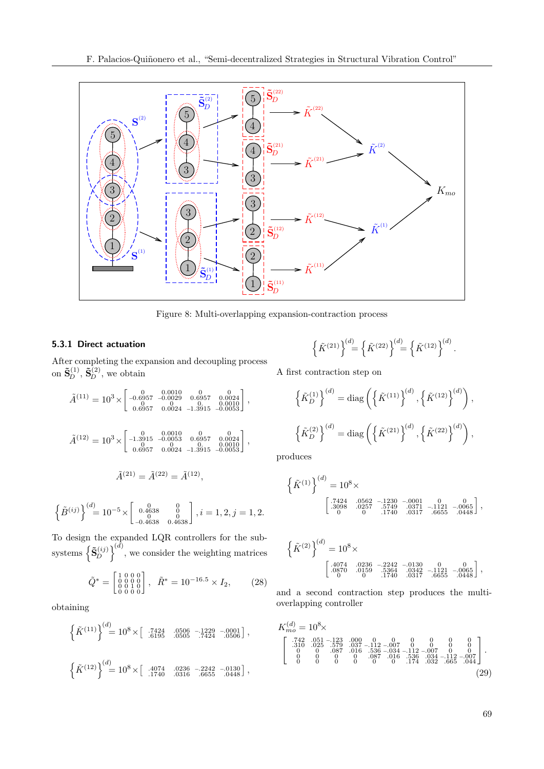

<span id="page-12-0"></span>Figure 8: Multi-overlapping expansion-contraction process

#### 5.3.1 Direct actuation

After completing the expansion and decoupling process on  $\tilde{\mathbf{S}}_{D}^{(1)}$ ,  $\tilde{\mathbf{S}}_{D}^{(2)}$ , we obtain

$$
\tilde{A}^{(11)} = 10^3 \times \begin{bmatrix}\n0 & 0.0010 & 0 & 0.0010 \\
-0.6957 & -0.0029 & 0.6957 & 0.0024 \\
0 & 0.6957 & 0.0024 & -1.3915 & -0.0053\n\end{bmatrix},
$$
\n
$$
\tilde{A}^{(12)} = 10^3 \times \begin{bmatrix}\n0 & 0.0010 & 0 & 0.0010 \\
-1.3915 & -0.0053 & 0.6957 & 0.0024 \\
0 & 0 & 0 & 0.0010 \\
0.6957 & 0.0024 & -1.3915 & -0.0053\n\end{bmatrix},
$$
\n
$$
\tilde{A}^{(21)} = \tilde{A}^{(22)} = \tilde{A}^{(12)},
$$

$$
\left\{\tilde{B}^{(ij)}\right\}^{(d)} = 10^{-5} \times \begin{bmatrix} 0 & 0 & 0 \\ 0.4638 & 0 & 0 \\ 0.4638 & 0.4638 \end{bmatrix}, i = 1, 2, j = 1, 2.
$$

To design the expanded LQR controllers for the subsystems  $\left\{ \tilde{\mathbf{S}}_{D}^{(ij)} \right\}^{(d)}$ , we consider the weighting matrices

$$
\tilde{Q}^* = \begin{bmatrix} 1 & 0 & 0 & 0 \\ 0 & 0 & 0 & 0 \\ 0 & 0 & 1 & 0 \\ 0 & 0 & 0 & 0 \end{bmatrix}, \quad \tilde{R}^* = 10^{-16.5} \times I_2,
$$
 (28)

obtaining

$$
\left\{\tilde{K}^{(11)}\right\}^{(d)} = 10^8 \times \left[\begin{array}{cc} .7424 & .0506 & -.1229 & -.0001 \\ .6195 & .0505 & .7424 & .0506 \end{array}\right],
$$
  

$$
\left\{\tilde{K}^{(12)}\right\}^{(d)} = 10^8 \times \left[\begin{array}{cc} .4074 & .0236 & -.2242 & -.0130 \\ .1740 & .0316 & .6655 & .0448 \end{array}\right],
$$

$$
\left\{\tilde{K}^{(21)}\right\}^{(d)} = \left\{\tilde{K}^{(22)}\right\}^{(d)} = \left\{\tilde{K}^{(12)}\right\}^{(d)}.
$$

A first contraction step on

$$
\left\{\tilde{K}_D^{(1)}\right\}^{(d)} = \text{diag}\left(\left\{\tilde{K}^{(11)}\right\}^{(d)}, \left\{\tilde{K}^{(12)}\right\}^{(d)}\right),\
$$

$$
\left\{\tilde{K}_D^{(2)}\right\}^{(d)} = \text{diag}\left(\left\{\tilde{K}^{(21)}\right\}^{(d)}, \left\{\tilde{K}^{(22)}\right\}^{(d)}\right),
$$

produces

$$
\left\{\tilde{K}^{(1)}\right\}_{(1)}^{(d)} = 10^8 \times \left[\begin{array}{cccc} .7424 & .0562 & -.1230 & -.0001 & 0 & .0 \\ .3098 & .0257 & .5749 & .0371 & -.1121 & -.0065 \\ .0 & 0 & .1740 & .0317 & .6655 & .0448 \end{array}\right],
$$

$$
\left\{\tilde{K}^{(2)}\right\}^{(d)} = 10^8 \times \\ \begin{bmatrix} .4074 & .0236 & -.2242 & -.0130 & 0 & 0 \\ .0870 & .0159 & .5364 & .0342 & -.1121 & -.0065 \\ 0 & 0 & .1740 & .0317 & .6655 & .0448 \end{bmatrix},
$$

<span id="page-12-1"></span>and a second contraction step produces the multioverlapping controller

<span id="page-12-2"></span>
$$
\begin{array}{l} K_{mo}^{(d)} = 10^8 \times \\ \left[ \begin{array}{cccc} .742 & .051\, -123 & .000 & 0 & 0 & 0 & 0 & 0 \\ .310 & .025 & .579 & .037\, -112\, -007 & 0 & 0 & 0 & 0 \\ 0 & 0 & .087 & .016 & .536\, -034\, -1112\, -007 & 0 & 0 \\ 0 & 0 & 0 & .0 & .087 & .016 & .536 & .034\, -112\, -007 \\ 0 & 0 & 0 & 0 & 0 & .174 & .032\ 0 & .665 & .044 \end{array} \right]. \end{array} \tag{29}
$$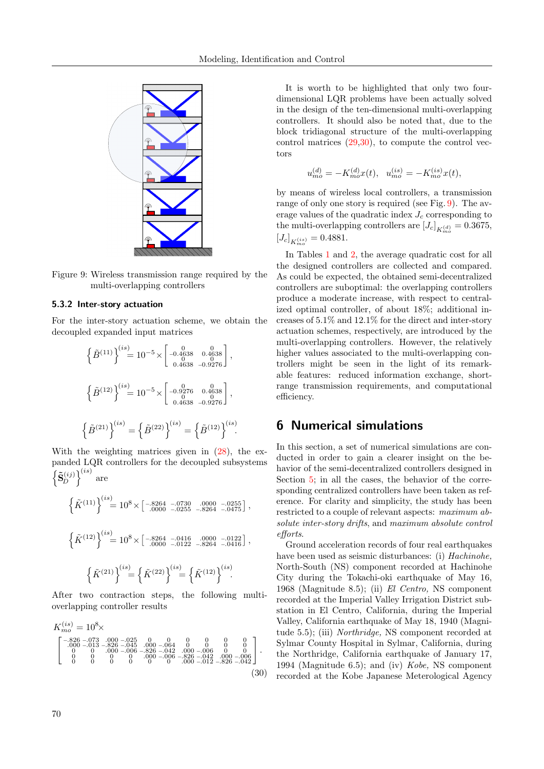

<span id="page-13-1"></span>Figure 9: Wireless transmission range required by the multi-overlapping controllers

#### 5.3.2 Inter-story actuation

For the inter-story actuation scheme, we obtain the decoupled expanded input matrices

$$
\left\{\tilde{B}^{(11)}\right\}^{(is)} = 10^{-5} \times \begin{bmatrix} 0 & 0 & 0 & 0 \\ -0.4638 & 0.4638 \\ 0 & 0.4638 & -0.9276 \end{bmatrix},
$$

$$
\left\{\tilde{B}^{(12)}\right\}^{(is)} = 10^{-5} \times \begin{bmatrix} 0 & 0 & 0 & 0 \\ -0.9276 & 0.4638 \\ 0.4638 & -0.9276 \end{bmatrix},
$$

$$
\left\{\tilde{B}^{(21)}\right\}^{(is)} = \left\{\tilde{B}^{(22)}\right\}^{(is)} = \left\{\tilde{B}^{(12)}\right\}^{(is)}.
$$

With the weighting matrices given in  $(28)$ , the expanded LQR controllers for the decoupled subsystems  $\left\{\tilde{\mathbf{S}}_{D}^{(ij)}\right\}^{(is)}$  are

$$
\left\{\tilde{K}^{(11)}\right\}^{(is)} = 10^8 \times \begin{bmatrix} -8264 & -0730 & 0000 & -0255\\ -0000 & -0255 & -8264 & -0475 \end{bmatrix},
$$

$$
\left\{\tilde{K}^{(12)}\right\}^{(is)} = 10^8 \times \begin{bmatrix} -8264 & -0416 & 0000 & -0122\\ -0000 & -0122 & -8264 & -0416 \end{bmatrix},
$$

$$
\left\{\tilde{K}^{(21)}\right\}^{(is)} = \left\{\tilde{K}^{(22)}\right\}^{(is)} = \left\{\tilde{K}^{(12)}\right\}^{(is)}.
$$

After two contraction steps, the following multioverlapping controller results

$$
K_{mo}^{(is)} = 10^8 \times
$$
\n
$$
\begin{bmatrix}\n-826 - 073 & 000 - 025 & 0 & 0 & 0 & 0 & 0 \\
-0.000 - 013 & -826 & -045 & 000 - 064 & 0 & 0 & 0 & 0 \\
0 & 0 & 000 - 006 & -826 & -042 & 000 - 006 & 0 & 0 \\
0 & 0 & 0 & 0 & 000 - 006 & -826 & -042 & 000 - 006 \\
0 & 0 & 0 & 0 & 0 & 0 & 0\n\end{bmatrix}.
$$
\n(30)

It is worth to be highlighted that only two fourdimensional LQR problems have been actually solved in the design of the ten-dimensional multi-overlapping controllers. It should also be noted that, due to the block tridiagonal structure of the multi-overlapping control matrices  $(29,30)$  $(29,30)$ , to compute the control vectors

$$
u_{mo}^{(d)} = -K_{mo}^{(d)}x(t), \quad u_{mo}^{(is)} = -K_{mo}^{(is)}x(t),
$$

by means of wireless local controllers, a transmission range of only one story is required (see Fig. [9\)](#page-13-1). The average values of the quadratic index  $J_c$  corresponding to the multi-overlapping controllers are  $\left[ J_c \right]_{K_{mo}^{(d)}} = 0.3675,$  $[J_c]_{K_{mo}^{(is)}} = 0.4881.$ 

In Tables [1](#page-14-0) and [2,](#page-14-1) the average quadratic cost for all the designed controllers are collected and compared. As could be expected, the obtained semi-decentralized controllers are suboptimal: the overlapping controllers produce a moderate increase, with respect to centralized optimal controller, of about 18%; additional increases of 5.1% and 12.1% for the direct and inter-story actuation schemes, respectively, are introduced by the multi-overlapping controllers. However, the relatively higher values associated to the multi-overlapping controllers might be seen in the light of its remarkable features: reduced information exchange, shortrange transmission requirements, and computational efficiency.

# 6 Numerical simulations

In this section, a set of numerical simulations are conducted in order to gain a clearer insight on the behavior of the semi-decentralized controllers designed in Section [5;](#page-9-0) in all the cases, the behavior of the corresponding centralized controllers have been taken as reference. For clarity and simplicity, the study has been restricted to a couple of relevant aspects: maximum absolute inter-story drifts, and maximum absolute control efforts.

<span id="page-13-0"></span>Ground acceleration records of four real earthquakes have been used as seismic disturbances: (i) *Hachinohe*, North-South (NS) component recorded at Hachinohe City during the Tokachi-oki earthquake of May 16, 1968 (Magnitude 8.5); (ii) El Centro, NS component recorded at the Imperial Valley Irrigation District substation in El Centro, California, during the Imperial Valley, California earthquake of May 18, 1940 (Magnitude 5.5); (iii) Northridge, NS component recorded at Sylmar County Hospital in Sylmar, California, during the Northridge, California earthquake of January 17, 1994 (Magnitude 6.5); and (iv) Kobe, NS component recorded at the Kobe Japanese Meterological Agency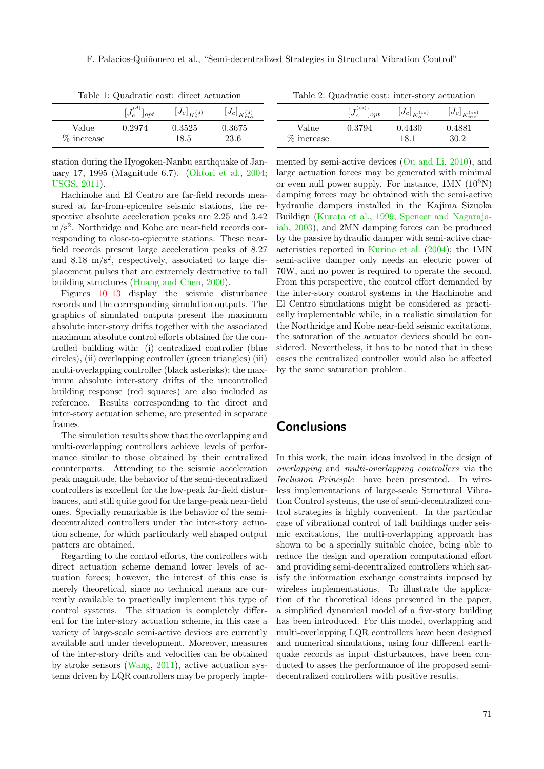| Lable 1. Quadrame cost. Gircet actualibri |                          |                     |                         |  |  |
|-------------------------------------------|--------------------------|---------------------|-------------------------|--|--|
|                                           | $[J_c^{(d)}]_{opt}$      | $[J_c]_{K_c^{(d)}}$ | $[J_c]_{K_{m_0}^{(d)}}$ |  |  |
| Value                                     | 0.2974                   | 0.3525              | 0.3675                  |  |  |
| % increase                                | $\overline{\phantom{a}}$ | 18.5                | 23.6                    |  |  |

<span id="page-14-0"></span>Table 1: Quadratic cost: direct actuation

station during the Hyogoken-Nanbu earthquake of January 17, 1995 (Magnitude 6.7). [\(Ohtori et al.,](#page-16-14) [2004;](#page-16-14) [USGS,](#page-16-15) [2011\)](#page-16-15).

Hachinohe and El Centro are far-field records measured at far-from-epicentre seismic stations, the respective absolute acceleration peaks are 2.25 and 3.42 m/s<sup>2</sup>. Northridge and Kobe are near-field records corresponding to close-to-epicentre stations. These nearfield records present large acceleration peaks of 8.27 and 8.18  $\text{m/s}^2$ , respectively, associated to large displacement pulses that are extremely destructive to tall building structures [\(Huang and Chen,](#page-15-17) [2000\)](#page-15-17).

Figures [10](#page-17-0)[–13](#page-20-1) display the seismic disturbance records and the corresponding simulation outputs. The graphics of simulated outputs present the maximum absolute inter-story drifts together with the associated maximum absolute control efforts obtained for the controlled building with: (i) centralized controller (blue circles), (ii) overlapping controller (green triangles) (iii) multi-overlapping controller (black asterisks); the maximum absolute inter-story drifts of the uncontrolled building response (red squares) are also included as reference. Results corresponding to the direct and inter-story actuation scheme, are presented in separate frames.

The simulation results show that the overlapping and multi-overlapping controllers achieve levels of performance similar to those obtained by their centralized counterparts. Attending to the seismic acceleration peak magnitude, the behavior of the semi-decentralized controllers is excellent for the low-peak far-field disturbances, and still quite good for the large-peak near-field ones. Specially remarkable is the behavior of the semidecentralized controllers under the inter-story actuation scheme, for which particularly well shaped output patters are obtained.

Regarding to the control efforts, the controllers with direct actuation scheme demand lower levels of actuation forces; however, the interest of this case is merely theoretical, since no technical means are currently available to practically implement this type of control systems. The situation is completely different for the inter-story actuation scheme, in this case a variety of large-scale semi-active devices are currently available and under development. Moreover, measures of the inter-story drifts and velocities can be obtained by stroke sensors [\(Wang,](#page-16-10) [2011\)](#page-16-10), active actuation systems driven by LQR controllers may be properly imple-

<span id="page-14-1"></span>Table 2: Quadratic cost: inter-story actuation

|                     | $[J_c^{(is)}]_{opt}$               | $[J_c]_{K_s^{(is)}}$ | $\left[J_c\right]_{K_{mo}^{(is)}}$ |
|---------------------|------------------------------------|----------------------|------------------------------------|
| Value<br>% increase | 0.3794<br>$\overline{\phantom{a}}$ | 0.4430<br>18.1       | 0.4881<br>30.2                     |

mented by semi-active devices [\(Ou and Li,](#page-16-16) [2010\)](#page-16-16), and large actuation forces may be generated with minimal or even null power supply. For instance,  $1MN (10^6N)$ damping forces may be obtained with the semi-active hydraulic dampers installed in the Kajima Sizuoka Buildign [\(Kurata et al.,](#page-15-18) [1999;](#page-15-18) [Spencer and Nagaraja](#page-16-6)[iah,](#page-16-6) [2003\)](#page-16-6), and 2MN damping forces can be produced by the passive hydraulic damper with semi-active characteristics reported in [Kurino et al.](#page-15-19) [\(2004\)](#page-15-19); the 1MN semi-active damper only needs an electric power of 70W, and no power is required to operate the second. From this perspective, the control effort demanded by the inter-story control systems in the Hachinohe and El Centro simulations might be considered as practically implementable while, in a realistic simulation for the Northridge and Kobe near-field seismic excitations, the saturation of the actuator devices should be considered. Nevertheless, it has to be noted that in these cases the centralized controller would also be affected by the same saturation problem.

# **Conclusions**

In this work, the main ideas involved in the design of overlapping and multi-overlapping controllers via the Inclusion Principle have been presented. In wireless implementations of large-scale Structural Vibration Control systems, the use of semi-decentralized control strategies is highly convenient. In the particular case of vibrational control of tall buildings under seismic excitations, the multi-overlapping approach has shown to be a specially suitable choice, being able to reduce the design and operation computational effort and providing semi-decentralized controllers which satisfy the information exchange constraints imposed by wireless implementations. To illustrate the application of the theoretical ideas presented in the paper, a simplified dynamical model of a five-story building has been introduced. For this model, overlapping and multi-overlapping LQR controllers have been designed and numerical simulations, using four different earthquake records as input disturbances, have been conducted to asses the performance of the proposed semidecentralized controllers with positive results.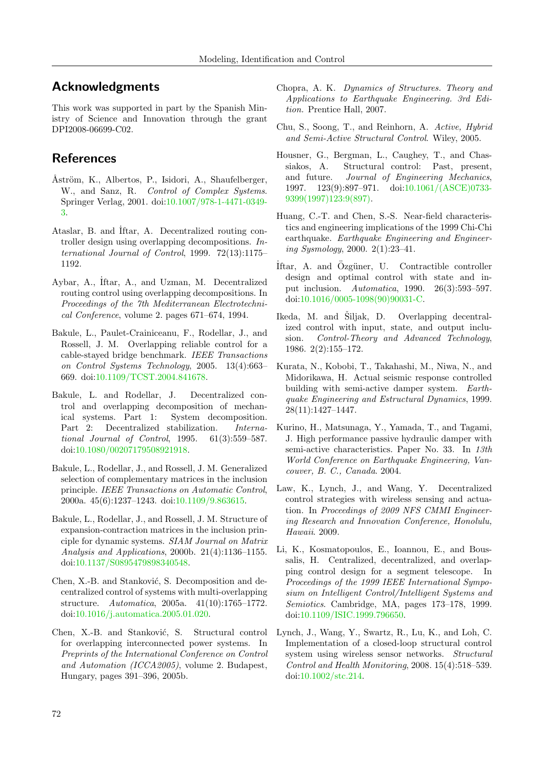# Acknowledgments

This work was supported in part by the Spanish Ministry of Science and Innovation through the grant DPI2008-06699-C02.

# References

- <span id="page-15-0"></span>Åström, K., Albertos, P., Isidori, A., Shaufelberger, W., and Sanz, R. Control of Complex Systems. Springer Verlag, 2001. doi[:10.1007/978-1-4471-0349-](http://dx.doi.org/10.1007/978-1-4471-0349-3) [3.](http://dx.doi.org/10.1007/978-1-4471-0349-3)
- <span id="page-15-2"></span>Ataslar, B. and Iftar, A. Decentralized routing controller design using overlapping decompositions. International Journal of Control, 1999. 72(13):1175– 1192.
- <span id="page-15-1"></span>Aybar, A., ˙Iftar, A., and Uzman, M. Decentralized routing control using overlapping decompositions. In Proceedings of the 7th Mediterranean Electrotechnical Conference, volume 2. pages 671–674, 1994.
- <span id="page-15-4"></span>Bakule, L., Paulet-Crainiceanu, F., Rodellar, J., and Rossell, J. M. Overlapping reliable control for a cable-stayed bridge benchmark. IEEE Transactions on Control Systems Technology, 2005. 13(4):663– 669. doi[:10.1109/TCST.2004.841678.](http://dx.doi.org/10.1109/TCST.2004.841678)
- <span id="page-15-3"></span>Bakule, L. and Rodellar, J. Decentralized control and overlapping decomposition of mechanical systems. Part 1: System decomposition. Part 2: Decentralized stabilization. International Journal of Control, 1995. 61(3):559–587. doi[:10.1080/00207179508921918.](http://dx.doi.org/10.1080/00207179508921918)
- <span id="page-15-11"></span>Bakule, L., Rodellar, J., and Rossell, J. M. Generalized selection of complementary matrices in the inclusion principle. IEEE Transactions on Automatic Control, 2000a. 45(6):1237–1243. doi[:10.1109/9.863615.](http://dx.doi.org/10.1109/9.863615)
- <span id="page-15-12"></span>Bakule, L., Rodellar, J., and Rossell, J. M. Structure of expansion-contraction matrices in the inclusion principle for dynamic systems. SIAM Journal on Matrix Analysis and Applications, 2000b. 21(4):1136–1155. doi[:10.1137/S0895479898340548.](http://dx.doi.org/10.1137/S0895479898340548)
- <span id="page-15-13"></span>Chen, X.-B. and Stanković, S. Decomposition and decentralized control of systems with multi-overlapping structure. Automatica, 2005a. 41(10):1765–1772. doi[:10.1016/j.automatica.2005.01.020.](http://dx.doi.org/10.1016/j.automatica.2005.01.020)
- <span id="page-15-5"></span>Chen, X.-B. and Stanković, S. Structural control for overlapping interconnected power systems. In Preprints of the International Conference on Control and Automation (ICCA2005), volume 2. Budapest, Hungary, pages 391–396, 2005b.
- <span id="page-15-16"></span>Chopra, A. K. Dynamics of Structures. Theory and Applications to Earthquake Engineering. 3rd Edition. Prentice Hall, 2007.
- <span id="page-15-7"></span>Chu, S., Soong, T., and Reinhorn, A. Active, Hybrid and Semi-Active Structural Control. Wiley, 2005.
- <span id="page-15-8"></span>Housner, G., Bergman, L., Caughey, T., and Chassiakos, A. Structural control: Past, present, and future. Journal of Engineering Mechanics, 1997. 123(9):897–971. doi[:10.1061/\(ASCE\)0733-](http://dx.doi.org/10.1061/(ASCE)0733-9399(1997)123:9(897)) [9399\(1997\)123:9\(897\).](http://dx.doi.org/10.1061/(ASCE)0733-9399(1997)123:9(897))
- <span id="page-15-17"></span>Huang, C.-T. and Chen, S.-S. Near-field characteristics and engineering implications of the 1999 Chi-Chi earthquake. Earthquake Engineering and Engineering Sysmology, 2000. 2(1):23–41.
- <span id="page-15-14"></span>Iftar, A. and Özgüner, U. Contractible controller design and optimal control with state and input inclusion. Automatica, 1990. 26(3):593–597. doi[:10.1016/0005-1098\(90\)90031-C.](http://dx.doi.org/10.1016/0005-1098(90)90031-C)
- <span id="page-15-15"></span>Ikeda, M. and Šiljak, D. Overlapping decentralized control with input, state, and output inclusion. Control-Theory and Advanced Technology, 1986. 2(2):155–172.
- <span id="page-15-18"></span>Kurata, N., Kobobi, T., Takahashi, M., Niwa, N., and Midorikawa, H. Actual seismic response controlled building with semi-active damper system. Earthquake Engineering and Estructural Dynamics, 1999. 28(11):1427–1447.
- <span id="page-15-19"></span>Kurino, H., Matsunaga, Y., Yamada, T., and Tagami, J. High performance passive hydraulic damper with semi-active characteristics. Paper No. 33. In 13th World Conference on Earthquake Engineering, Vancouver, B. C., Canada. 2004.
- <span id="page-15-9"></span>Law, K., Lynch, J., and Wang, Y. Decentralized control strategies with wireless sensing and actuation. In Proceedings of 2009 NFS CMMI Engineering Research and Innovation Conference, Honolulu, Hawaii. 2009.
- <span id="page-15-6"></span>Li, K., Kosmatopoulos, E., Ioannou, E., and Boussalis, H. Centralized, decentralized, and overlapping control design for a segment telescope. In Proceedings of the 1999 IEEE International Symposium on Intelligent Control/Intelligent Systems and Semiotics. Cambridge, MA, pages 173–178, 1999. doi[:10.1109/ISIC.1999.796650.](http://dx.doi.org/10.1109/ISIC.1999.796650)
- <span id="page-15-10"></span>Lynch, J., Wang, Y., Swartz, R., Lu, K., and Loh, C. Implementation of a closed-loop structural control system using wireless sensor networks. Structural Control and Health Monitoring, 2008. 15(4):518–539. doi[:10.1002/stc.214.](http://dx.doi.org/10.1002/stc.214)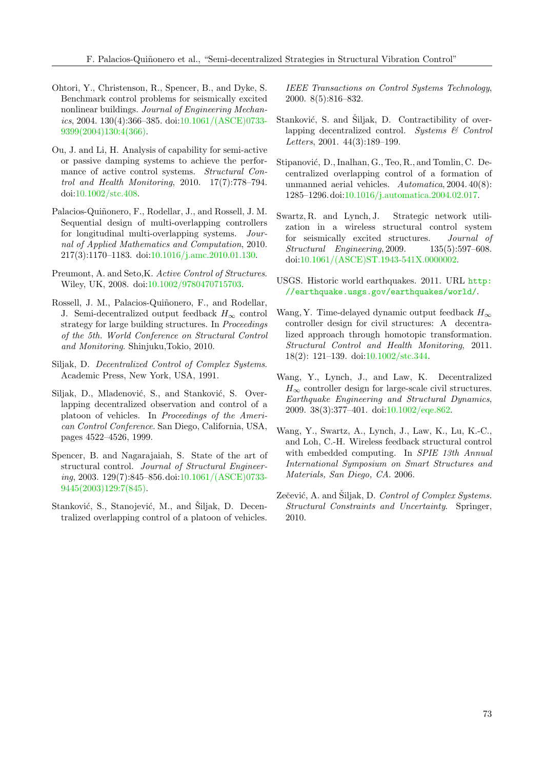- <span id="page-16-14"></span>Ohtori, Y., Christenson, R., Spencer, B., and Dyke, S. Benchmark control problems for seismically excited nonlinear buildings. Journal of Engineering Mechan $ics, 2004. 130(4):366-385.$  doi: $10.1061/(ASCE)$ 0733-[9399\(2004\)130:4\(366\).](http://dx.doi.org/10.1061/(ASCE)0733-9399(2004)130:4(366))
- <span id="page-16-16"></span>Ou, J. and Li, H. Analysis of capability for semi-active or passive damping systems to achieve the performance of active control systems. Structural Control and Health Monitoring, 2010. 17(7):778–794. doi[:10.1002/stc.408.](http://dx.doi.org/10.1002/stc.408)
- <span id="page-16-11"></span>Palacios-Quiñonero, F., Rodellar, J., and Rossell, J. M. Sequential design of multi-overlapping controllers for longitudinal multi-overlapping systems. Journal of Applied Mathematics and Computation, 2010. 217(3):1170–1183. doi[:10.1016/j.amc.2010.01.130.](http://dx.doi.org/10.1016/j.amc.2010.01.130)
- <span id="page-16-5"></span>Preumont, A. and Seto,K. Active Control of Structures. Wiley, UK, 2008. doi[:10.1002/9780470715703.](http://dx.doi.org/10.1002/9780470715703)
- <span id="page-16-12"></span>Rossell, J. M., Palacios-Quiñonero, F., and Rodellar, J. Semi-decentralized output feedback  $H_{\infty}$  control strategy for large building structures. In Proceedings of the 5th. World Conference on Structural Control and Monitoring. Shinjuku,Tokio, 2010.
- <span id="page-16-1"></span>Siljak, D. Decentralized Control of Complex Systems. Academic Press, New York, USA, 1991.
- <span id="page-16-2"></span>Siljak, D., Mladenović, S., and Stanković, S. Overlapping decentralized observation and control of a platoon of vehicles. In Proceedings of the American Control Conference. San Diego, California, USA, pages 4522–4526, 1999.
- <span id="page-16-6"></span>Spencer, B. and Nagarajaiah, S. State of the art of structural control. Journal of Structural Engineer $ing, 2003. 129(7):845–856.$ doi: $10.1061/(ASCE)$ 0733-[9445\(2003\)129:7\(845\).](http://dx.doi.org/10.1061/(ASCE)0733-9445(2003)129:7(845))
- <span id="page-16-3"></span>Stanković, S., Stanojević, M., and Šiljak, D. Decentralized overlapping control of a platoon of vehicles.

IEEE Transactions on Control Systems Technology, 2000. 8(5):816–832.

- <span id="page-16-13"></span>Stanković, S. and Šiljak, D. Contractibility of overlapping decentralized control. Systems  $\mathcal{C}$  Control Letters, 2001. 44(3):189–199.
- <span id="page-16-4"></span>Stipanović, D., Inalhan, G., Teo, R., and Tomlin, C. Decentralized overlapping control of a formation of unmanned aerial vehicles. Automatica, 2004. 40(8): 1285–1296.doi[:10.1016/j.automatica.2004.02.017.](http://dx.doi.org/10.1016/j.automatica.2004.02.017)
- <span id="page-16-7"></span>Swartz, R. and Lynch, J. Strategic network utilization in a wireless structural control system for seismically excited structures. Journal of Structural Engineering, 2009. 135(5):597–608. doi[:10.1061/\(ASCE\)ST.1943-541X.0000002.](http://dx.doi.org/10.1061/(ASCE)ST.1943-541X.0000002)
- <span id="page-16-15"></span>USGS. Historic world earthquakes. 2011. URL [http:](http://earthquake.usgs.gov/earthquakes/world/) [//earthquake.usgs.gov/earthquakes/world/](http://earthquake.usgs.gov/earthquakes/world/).
- <span id="page-16-10"></span>Wang, Y. Time-delayed dynamic output feedback  $H_{\infty}$ controller design for civil structures: A decentralized approach through homotopic transformation. Structural Control and Health Monitoring, 2011. 18(2): 121–139. doi[:10.1002/stc.344.](http://dx.doi.org/10.1002/stc.344)
- <span id="page-16-9"></span>Wang, Y., Lynch, J., and Law, K. Decentralized  $H_{\infty}$  controller design for large-scale civil structures. Earthquake Engineering and Structural Dynamics, 2009. 38(3):377–401. doi[:10.1002/eqe.862.](http://dx.doi.org/10.1002/eqe.862)
- <span id="page-16-8"></span>Wang, Y., Swartz, A., Lynch, J., Law, K., Lu, K.-C., and Loh, C.-H. Wireless feedback structural control with embedded computing. In SPIE 13th Annual International Symposium on Smart Structures and Materials, San Diego, CA. 2006.
- <span id="page-16-0"></span>Zečević, A. and Šiljak, D. Control of Complex Systems. Structural Constraints and Uncertainty. Springer, 2010.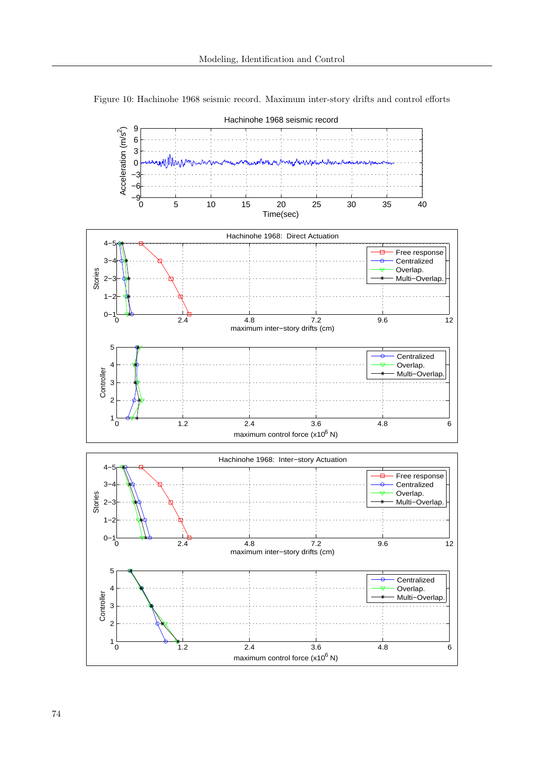

<span id="page-17-0"></span>Figure 10: Hachinohe 1968 seismic record. Maximum inter-story drifts and control efforts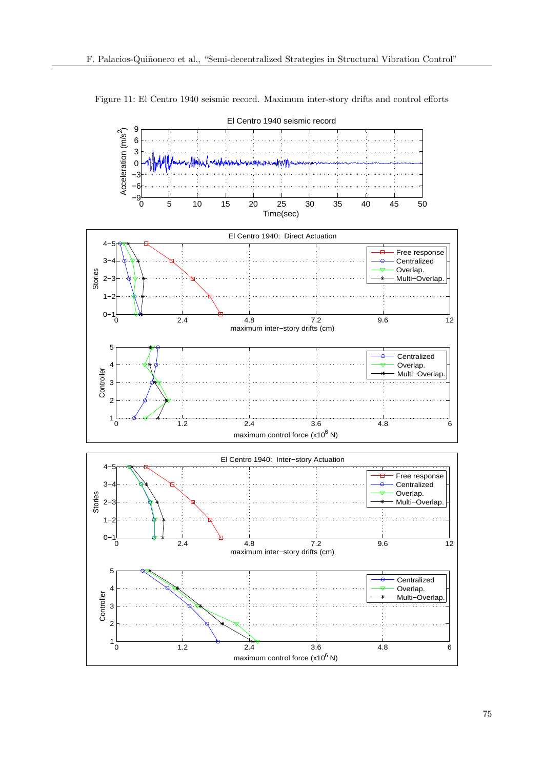

Figure 11: El Centro 1940 seismic record. Maximum inter-story drifts and control efforts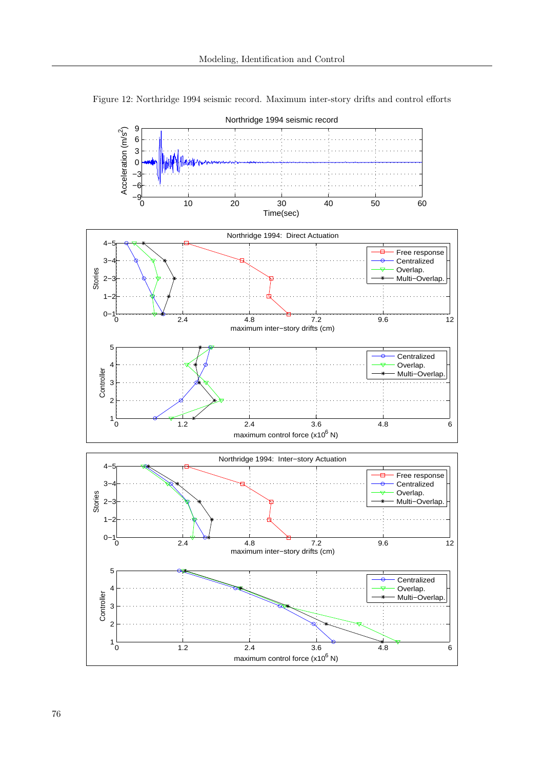

Figure 12: Northridge 1994 seismic record. Maximum inter-story drifts and control efforts